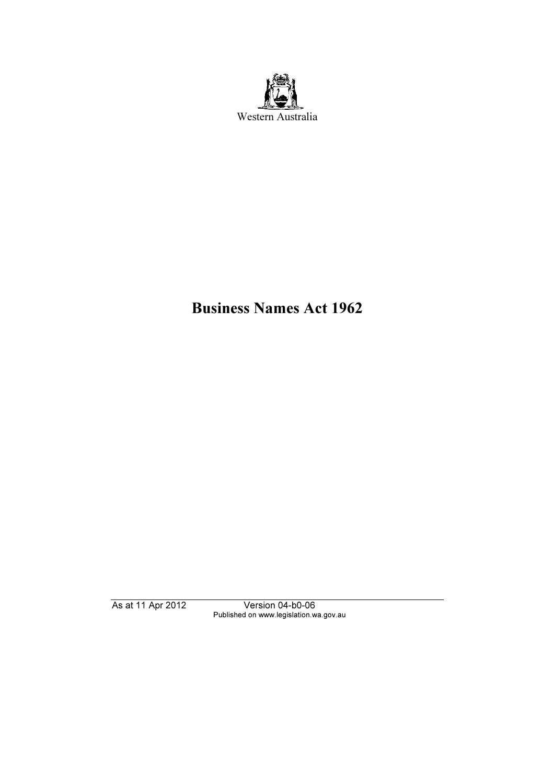

# Business Names Act 1962

As at 11 Apr 2012 Version 04-b0-06 Published on www.legislation.wa.gov.au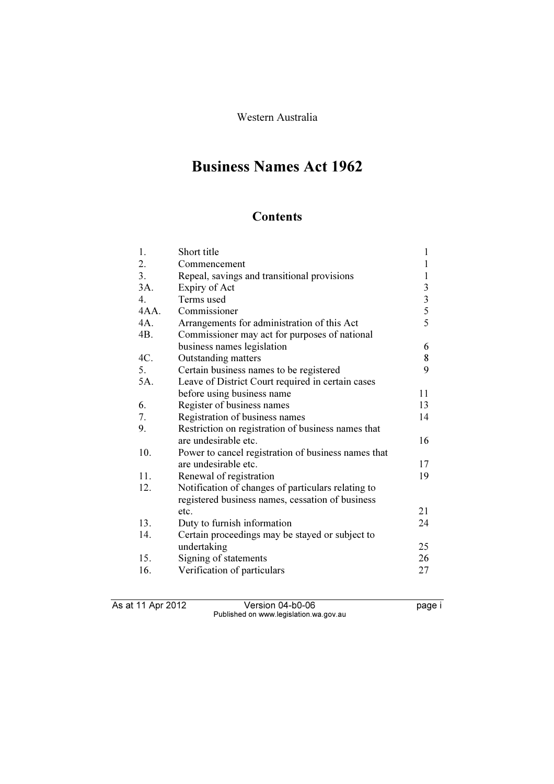## Western Australia

# Business Names Act 1962

## **Contents**

| 1.               | Short title                                         | $\mathbf{1}$            |
|------------------|-----------------------------------------------------|-------------------------|
| 2.               | Commencement                                        | 1                       |
| 3.               | Repeal, savings and transitional provisions         | 1                       |
| 3A.              | Expiry of Act                                       | 3                       |
| $\overline{4}$ . | Terms used                                          | $\overline{\mathbf{3}}$ |
| 4AA.             | Commissioner                                        | 5                       |
| 4A.              | Arrangements for administration of this Act         | 5                       |
| 4B.              | Commissioner may act for purposes of national       |                         |
|                  | business names legislation                          | 6                       |
| 4C.              | Outstanding matters                                 | 8                       |
| 5.               | Certain business names to be registered             | 9                       |
| 5A.              | Leave of District Court required in certain cases   |                         |
|                  | before using business name                          | 11                      |
| 6.               | Register of business names                          | 13                      |
| 7.               | Registration of business names                      | 14                      |
| 9.               | Restriction on registration of business names that  |                         |
|                  | are undesirable etc.                                | 16                      |
| 10.              | Power to cancel registration of business names that |                         |
|                  | are undesirable etc.                                | 17                      |
| 11.              | Renewal of registration                             | 19                      |
| 12.              | Notification of changes of particulars relating to  |                         |
|                  | registered business names, cessation of business    |                         |
|                  | etc.                                                | 21                      |
| 13.              | Duty to furnish information                         | 24                      |
| 14.              | Certain proceedings may be stayed or subject to     |                         |
|                  | undertaking                                         | 25                      |
| 15.              | Signing of statements                               | 26                      |
| 16.              | Verification of particulars                         | 27                      |
|                  |                                                     |                         |

As at 11 Apr 2012 Version 04-b0-06 page i Published on www.legislation.wa.gov.au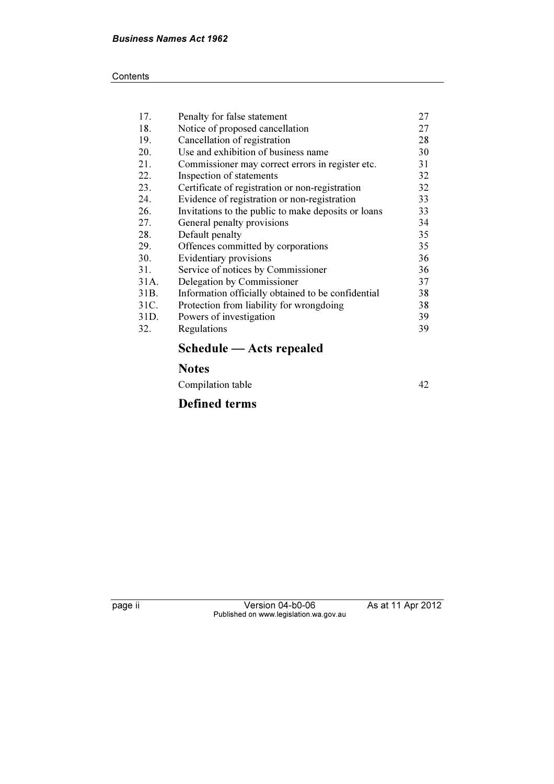#### **Contents**

| 17.  | Penalty for false statement                         | 27 |
|------|-----------------------------------------------------|----|
| 18.  | Notice of proposed cancellation                     | 27 |
| 19.  | Cancellation of registration                        | 28 |
| 20.  | Use and exhibition of business name                 | 30 |
| 21.  | Commissioner may correct errors in register etc.    | 31 |
| 22.  | Inspection of statements                            | 32 |
| 23.  | Certificate of registration or non-registration     | 32 |
| 24.  | Evidence of registration or non-registration        | 33 |
| 26.  | Invitations to the public to make deposits or loans | 33 |
| 27.  | General penalty provisions                          | 34 |
| 28.  | Default penalty                                     | 35 |
| 29.  | Offences committed by corporations                  | 35 |
| 30.  | Evidentiary provisions                              | 36 |
| 31.  | Service of notices by Commissioner                  | 36 |
| 31A. | Delegation by Commissioner                          | 37 |
| 31B. | Information officially obtained to be confidential  | 38 |
| 31C. | Protection from liability for wrongdoing            | 38 |
| 31D. | Powers of investigation                             | 39 |
| 32.  | Regulations                                         | 39 |
|      | Schedule — Acts repealed                            |    |
|      | <b>Notes</b>                                        |    |

| Compilation table |  |
|-------------------|--|
|-------------------|--|

## Defined terms

page ii Version 04-b0-06 As at 11 Apr 2012 Published on www.legislation.wa.gov.au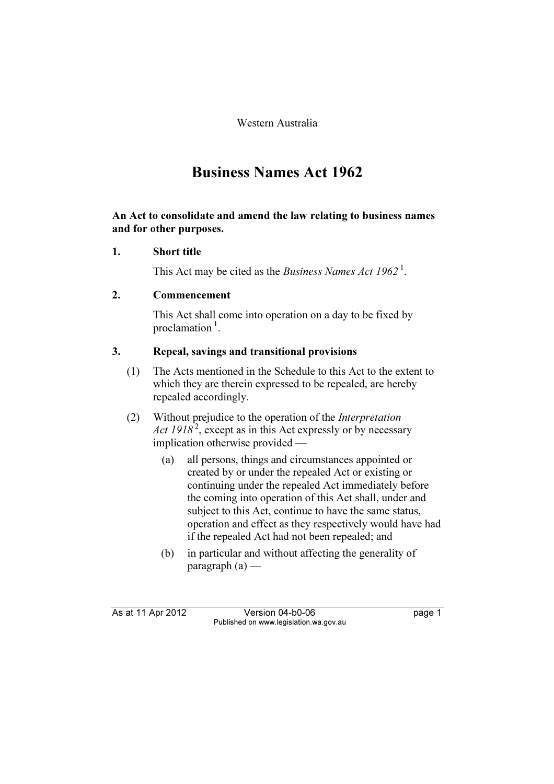Western Australia

# Business Names Act 1962

## An Act to consolidate and amend the law relating to business names and for other purposes.

## 1. Short title

This Act may be cited as the *Business Names Act 1962*<sup>1</sup>.

## 2. Commencement

 This Act shall come into operation on a day to be fixed by proclamation $\frac{1}{1}$ .

## 3. Repeal, savings and transitional provisions

- (1) The Acts mentioned in the Schedule to this Act to the extent to which they are therein expressed to be repealed, are hereby repealed accordingly.
- (2) Without prejudice to the operation of the Interpretation Act  $1918^2$ , except as in this Act expressly or by necessary implication otherwise provided —
	- (a) all persons, things and circumstances appointed or created by or under the repealed Act or existing or continuing under the repealed Act immediately before the coming into operation of this Act shall, under and subject to this Act, continue to have the same status, operation and effect as they respectively would have had if the repealed Act had not been repealed; and
	- (b) in particular and without affecting the generality of paragraph  $(a)$  —

As at 11 Apr 2012 Version 04-b0-06 page 1 Published on www.legislation.wa.gov.au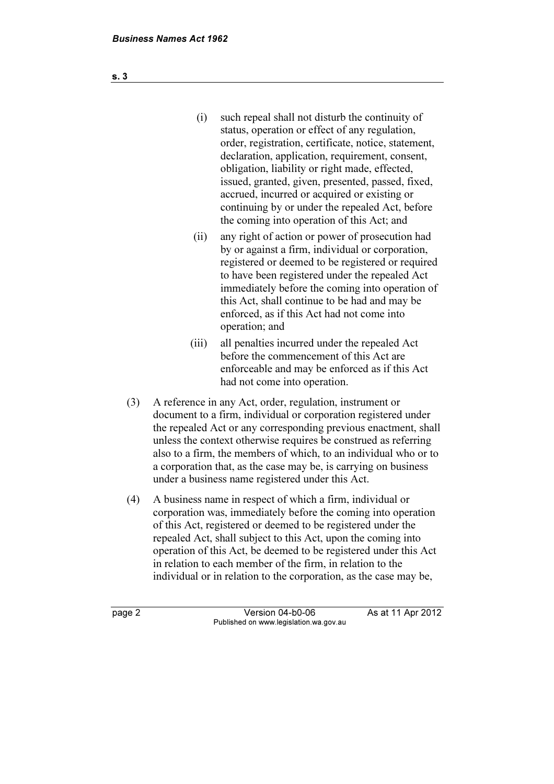- (i) such repeal shall not disturb the continuity of status, operation or effect of any regulation, order, registration, certificate, notice, statement, declaration, application, requirement, consent, obligation, liability or right made, effected, issued, granted, given, presented, passed, fixed, accrued, incurred or acquired or existing or continuing by or under the repealed Act, before the coming into operation of this Act; and
- (ii) any right of action or power of prosecution had by or against a firm, individual or corporation, registered or deemed to be registered or required to have been registered under the repealed Act immediately before the coming into operation of this Act, shall continue to be had and may be enforced, as if this Act had not come into operation; and
- (iii) all penalties incurred under the repealed Act before the commencement of this Act are enforceable and may be enforced as if this Act had not come into operation.
- (3) A reference in any Act, order, regulation, instrument or document to a firm, individual or corporation registered under the repealed Act or any corresponding previous enactment, shall unless the context otherwise requires be construed as referring also to a firm, the members of which, to an individual who or to a corporation that, as the case may be, is carrying on business under a business name registered under this Act.
- (4) A business name in respect of which a firm, individual or corporation was, immediately before the coming into operation of this Act, registered or deemed to be registered under the repealed Act, shall subject to this Act, upon the coming into operation of this Act, be deemed to be registered under this Act in relation to each member of the firm, in relation to the individual or in relation to the corporation, as the case may be,

page 2 Version 04-b0-06 As at 11 Apr 2012 Published on www.legislation.wa.gov.au

s. 3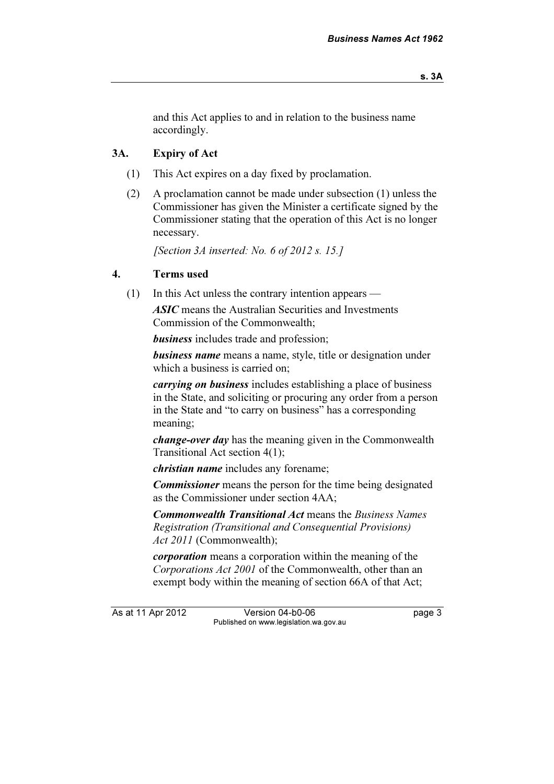## 3A. Expiry of Act

- (1) This Act expires on a day fixed by proclamation.
- (2) A proclamation cannot be made under subsection (1) unless the Commissioner has given the Minister a certificate signed by the Commissioner stating that the operation of this Act is no longer necessary.

[Section 3A inserted: No. 6 of 2012 s. 15.]

#### 4. Terms used

(1) In this Act unless the contrary intention appears —

ASIC means the Australian Securities and Investments Commission of the Commonwealth;

**business** includes trade and profession;

**business name** means a name, style, title or designation under which a business is carried on;

carrying on business includes establishing a place of business in the State, and soliciting or procuring any order from a person in the State and "to carry on business" has a corresponding meaning;

change-over day has the meaning given in the Commonwealth Transitional Act section 4(1);

christian name includes any forename;

Commissioner means the person for the time being designated as the Commissioner under section 4AA;

Commonwealth Transitional Act means the Business Names Registration (Transitional and Consequential Provisions) Act 2011 (Commonwealth);

corporation means a corporation within the meaning of the Corporations Act 2001 of the Commonwealth, other than an exempt body within the meaning of section 66A of that Act;

As at 11 Apr 2012 Version 04-b0-06 Page 3 Published on www.legislation.wa.gov.au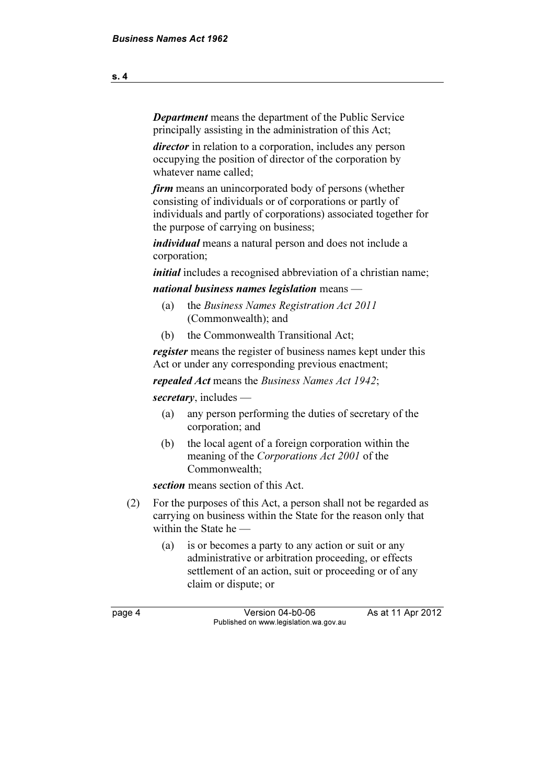Department means the department of the Public Service principally assisting in the administration of this Act;

director in relation to a corporation, includes any person occupying the position of director of the corporation by whatever name called;

firm means an unincorporated body of persons (whether consisting of individuals or of corporations or partly of individuals and partly of corporations) associated together for the purpose of carrying on business;

individual means a natural person and does not include a corporation;

*initial* includes a recognised abbreviation of a christian name:

#### national business names legislation means  $-$

- (a) the Business Names Registration Act 2011 (Commonwealth); and
- (b) the Commonwealth Transitional Act;

register means the register of business names kept under this Act or under any corresponding previous enactment;

repealed Act means the Business Names Act 1942;

secretary, includes —

- (a) any person performing the duties of secretary of the corporation; and
- (b) the local agent of a foreign corporation within the meaning of the Corporations Act 2001 of the Commonwealth;

section means section of this Act.

- (2) For the purposes of this Act, a person shall not be regarded as carrying on business within the State for the reason only that within the State he —
	- (a) is or becomes a party to any action or suit or any administrative or arbitration proceeding, or effects settlement of an action, suit or proceeding or of any claim or dispute; or

page 4 Version 04-b0-06 As at 11 Apr 2012 Published on www.legislation.wa.gov.au

s. 4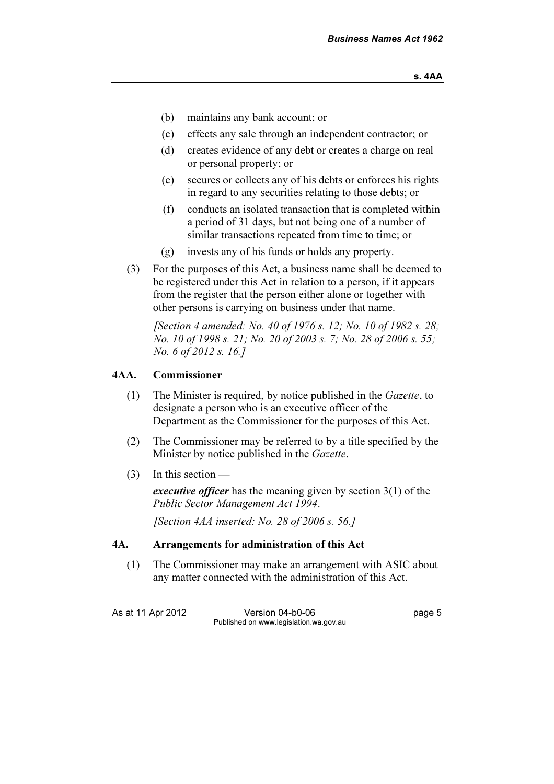- (b) maintains any bank account; or
- (c) effects any sale through an independent contractor; or
- (d) creates evidence of any debt or creates a charge on real or personal property; or
- (e) secures or collects any of his debts or enforces his rights in regard to any securities relating to those debts; or
- (f) conducts an isolated transaction that is completed within a period of 31 days, but not being one of a number of similar transactions repeated from time to time; or
- (g) invests any of his funds or holds any property.
- (3) For the purposes of this Act, a business name shall be deemed to be registered under this Act in relation to a person, if it appears from the register that the person either alone or together with other persons is carrying on business under that name.

 [Section 4 amended: No. 40 of 1976 s. 12; No. 10 of 1982 s. 28; No. 10 of 1998 s. 21; No. 20 of 2003 s. 7; No. 28 of 2006 s. 55; No. 6 of 2012 s. 16.]

#### 4AA. Commissioner

- (1) The Minister is required, by notice published in the Gazette, to designate a person who is an executive officer of the Department as the Commissioner for the purposes of this Act.
- (2) The Commissioner may be referred to by a title specified by the Minister by notice published in the Gazette.
- $(3)$  In this section —

*executive officer* has the meaning given by section  $3(1)$  of the Public Sector Management Act 1994.

[Section 4AA inserted: No. 28 of 2006 s. 56.]

#### 4A. Arrangements for administration of this Act

 (1) The Commissioner may make an arrangement with ASIC about any matter connected with the administration of this Act.

As at 11 Apr 2012 Version 04-b0-06 Page 5 Published on www.legislation.wa.gov.au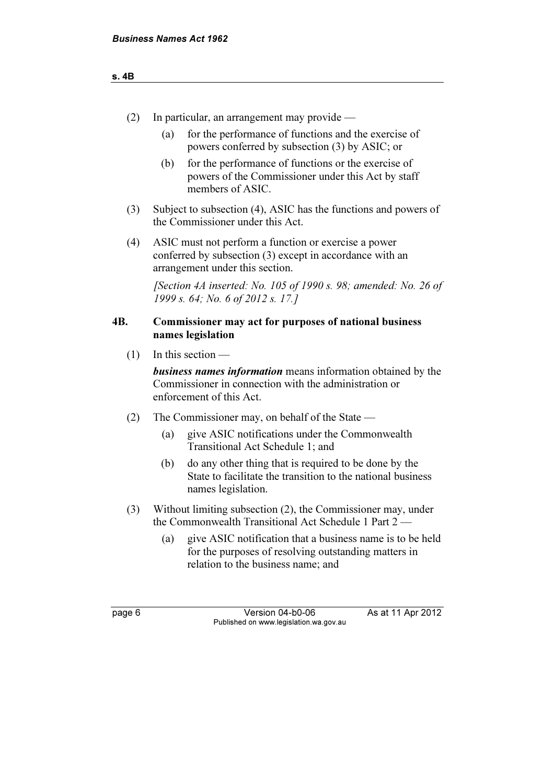- (2) In particular, an arrangement may provide
	- (a) for the performance of functions and the exercise of powers conferred by subsection (3) by ASIC; or
	- (b) for the performance of functions or the exercise of powers of the Commissioner under this Act by staff members of ASIC.
- (3) Subject to subsection (4), ASIC has the functions and powers of the Commissioner under this Act.
- (4) ASIC must not perform a function or exercise a power conferred by subsection (3) except in accordance with an arrangement under this section.

[Section 4A inserted: No. 105 of 1990 s. 98; amended: No. 26 of 1999 s. 64; No. 6 of 2012 s. 17.]

#### 4B. Commissioner may act for purposes of national business names legislation

(1) In this section —

**business names information** means information obtained by the Commissioner in connection with the administration or enforcement of this Act.

- (2) The Commissioner may, on behalf of the State
	- (a) give ASIC notifications under the Commonwealth Transitional Act Schedule 1; and
	- (b) do any other thing that is required to be done by the State to facilitate the transition to the national business names legislation.
- (3) Without limiting subsection (2), the Commissioner may, under the Commonwealth Transitional Act Schedule 1 Part 2 —
	- (a) give ASIC notification that a business name is to be held for the purposes of resolving outstanding matters in relation to the business name; and

page 6 Version 04-b0-06 As at 11 Apr 2012 Published on www.legislation.wa.gov.au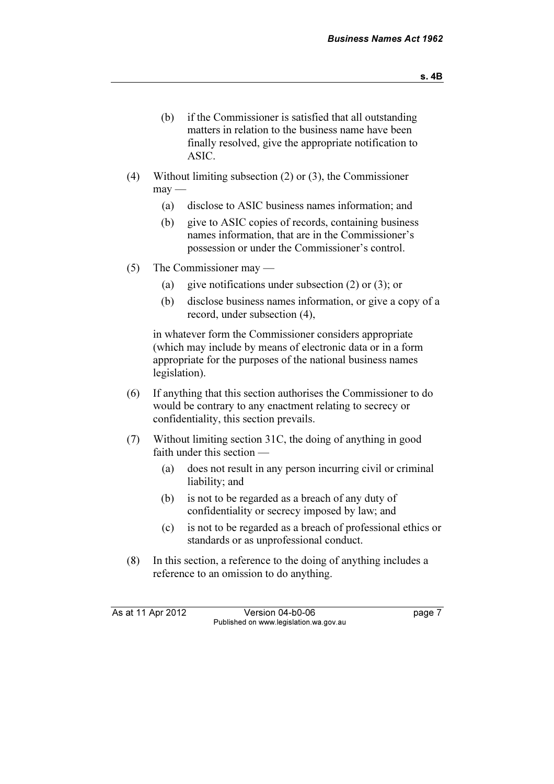- (b) if the Commissioner is satisfied that all outstanding matters in relation to the business name have been finally resolved, give the appropriate notification to ASIC.
- (4) Without limiting subsection (2) or (3), the Commissioner  $m$ ay —
	- (a) disclose to ASIC business names information; and
	- (b) give to ASIC copies of records, containing business names information, that are in the Commissioner's possession or under the Commissioner's control.
- (5) The Commissioner may
	- (a) give notifications under subsection (2) or (3); or
	- (b) disclose business names information, or give a copy of a record, under subsection (4),

 in whatever form the Commissioner considers appropriate (which may include by means of electronic data or in a form appropriate for the purposes of the national business names legislation).

- (6) If anything that this section authorises the Commissioner to do would be contrary to any enactment relating to secrecy or confidentiality, this section prevails.
- (7) Without limiting section 31C, the doing of anything in good faith under this section —
	- (a) does not result in any person incurring civil or criminal liability; and
	- (b) is not to be regarded as a breach of any duty of confidentiality or secrecy imposed by law; and
	- (c) is not to be regarded as a breach of professional ethics or standards or as unprofessional conduct.
- (8) In this section, a reference to the doing of anything includes a reference to an omission to do anything.

As at 11 Apr 2012 Version 04-b0-06 page 7 Published on www.legislation.wa.gov.au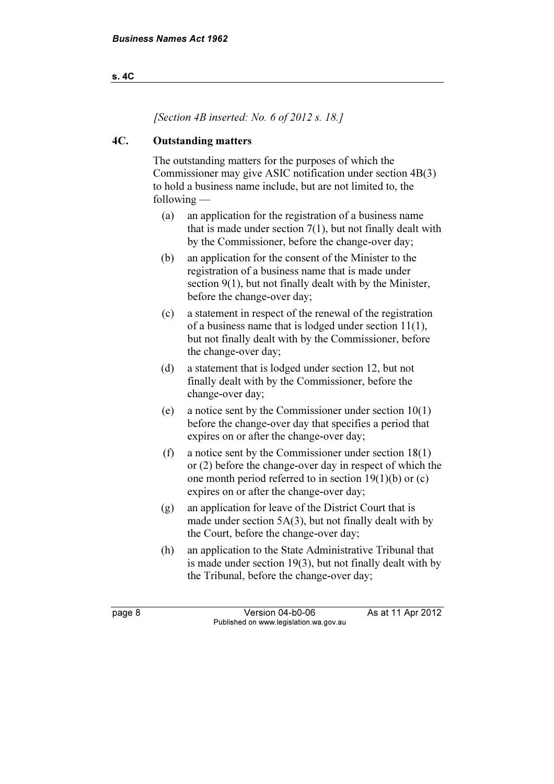#### s. 4C

[Section 4B inserted: No. 6 of 2012 s. 18.]

## 4C. Outstanding matters

 The outstanding matters for the purposes of which the Commissioner may give ASIC notification under section 4B(3) to hold a business name include, but are not limited to, the following —

- (a) an application for the registration of a business name that is made under section 7(1), but not finally dealt with by the Commissioner, before the change-over day;
- (b) an application for the consent of the Minister to the registration of a business name that is made under section 9(1), but not finally dealt with by the Minister, before the change-over day;
- (c) a statement in respect of the renewal of the registration of a business name that is lodged under section 11(1), but not finally dealt with by the Commissioner, before the change-over day;
- (d) a statement that is lodged under section 12, but not finally dealt with by the Commissioner, before the change-over day;
- (e) a notice sent by the Commissioner under section 10(1) before the change-over day that specifies a period that expires on or after the change-over day;
- (f) a notice sent by the Commissioner under section 18(1) or (2) before the change-over day in respect of which the one month period referred to in section 19(1)(b) or (c) expires on or after the change-over day;
- (g) an application for leave of the District Court that is made under section 5A(3), but not finally dealt with by the Court, before the change-over day;
- (h) an application to the State Administrative Tribunal that is made under section 19(3), but not finally dealt with by the Tribunal, before the change-over day;

page 8 Version 04-b0-06 As at 11 Apr 2012 Published on www.legislation.wa.gov.au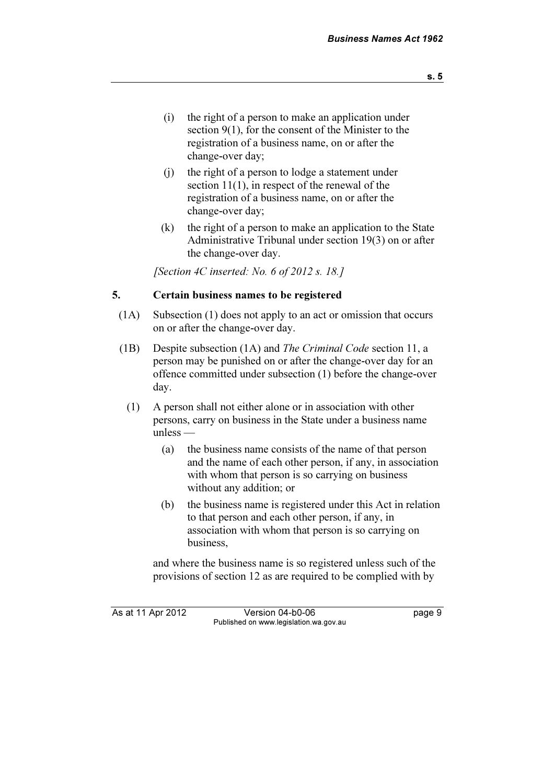- (i) the right of a person to make an application under section 9(1), for the consent of the Minister to the registration of a business name, on or after the change-over day;
- (j) the right of a person to lodge a statement under section 11(1), in respect of the renewal of the registration of a business name, on or after the change-over day;
- (k) the right of a person to make an application to the State Administrative Tribunal under section 19(3) on or after the change-over day.

[Section 4C inserted: No. 6 of 2012 s. 18.]

#### 5. Certain business names to be registered

- (1A) Subsection (1) does not apply to an act or omission that occurs on or after the change-over day.
- (1B) Despite subsection (1A) and The Criminal Code section 11, a person may be punished on or after the change-over day for an offence committed under subsection (1) before the change-over day.
	- (1) A person shall not either alone or in association with other persons, carry on business in the State under a business name unless —
		- (a) the business name consists of the name of that person and the name of each other person, if any, in association with whom that person is so carrying on business without any addition; or
		- (b) the business name is registered under this Act in relation to that person and each other person, if any, in association with whom that person is so carrying on business,

 and where the business name is so registered unless such of the provisions of section 12 as are required to be complied with by

As at 11 Apr 2012 Version 04-b0-06 page 9 Published on www.legislation.wa.gov.au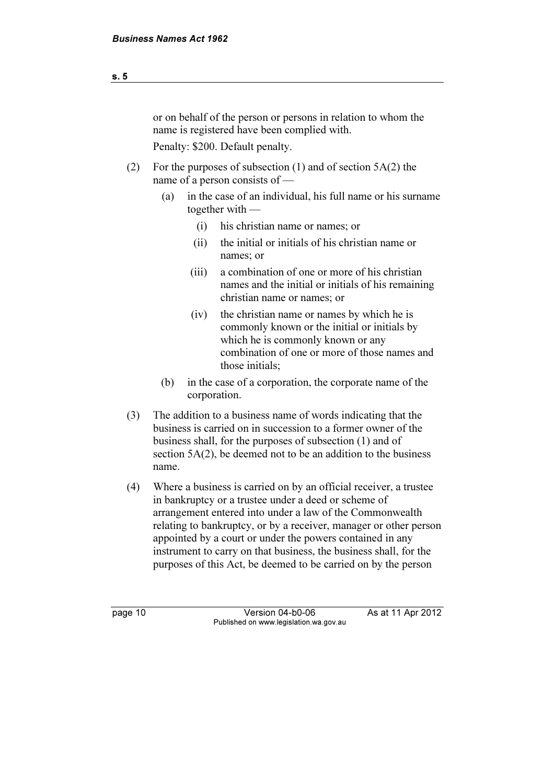or on behalf of the person or persons in relation to whom the name is registered have been complied with. Penalty: \$200. Default penalty.

- (2) For the purposes of subsection (1) and of section 5A(2) the name of a person consists of —
	- (a) in the case of an individual, his full name or his surname together with —
		- (i) his christian name or names; or
		- (ii) the initial or initials of his christian name or names; or
		- (iii) a combination of one or more of his christian names and the initial or initials of his remaining christian name or names; or
		- (iv) the christian name or names by which he is commonly known or the initial or initials by which he is commonly known or any combination of one or more of those names and those initials;
	- (b) in the case of a corporation, the corporate name of the corporation.
- (3) The addition to a business name of words indicating that the business is carried on in succession to a former owner of the business shall, for the purposes of subsection (1) and of section 5A(2), be deemed not to be an addition to the business name.
- (4) Where a business is carried on by an official receiver, a trustee in bankruptcy or a trustee under a deed or scheme of arrangement entered into under a law of the Commonwealth relating to bankruptcy, or by a receiver, manager or other person appointed by a court or under the powers contained in any instrument to carry on that business, the business shall, for the purposes of this Act, be deemed to be carried on by the person

page 10 Version 04-b0-06 As at 11 Apr 2012 Published on www.legislation.wa.gov.au

s. 5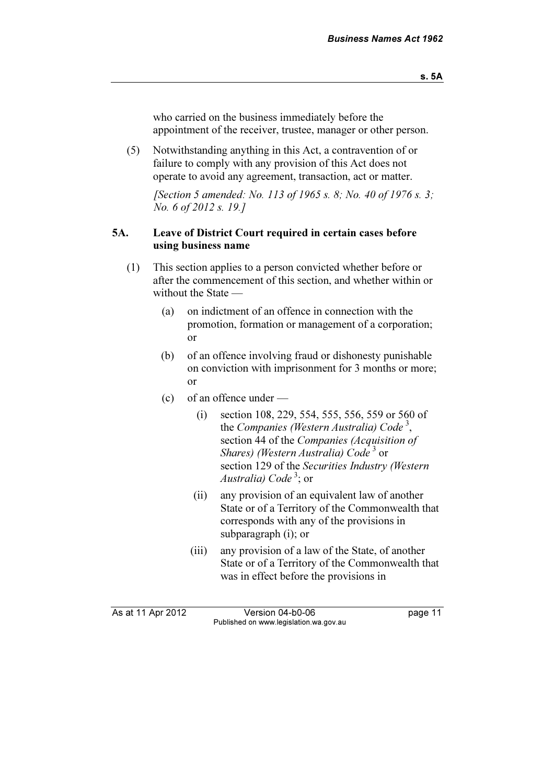who carried on the business immediately before the appointment of the receiver, trustee, manager or other person.

 (5) Notwithstanding anything in this Act, a contravention of or failure to comply with any provision of this Act does not operate to avoid any agreement, transaction, act or matter.

[Section 5 amended: No. 113 of 1965 s. 8; No. 40 of 1976 s. 3; No. 6 of 2012 s. 19.]

#### 5A. Leave of District Court required in certain cases before using business name

- (1) This section applies to a person convicted whether before or after the commencement of this section, and whether within or without the State —
	- (a) on indictment of an offence in connection with the promotion, formation or management of a corporation; or
	- (b) of an offence involving fraud or dishonesty punishable on conviction with imprisonment for 3 months or more; or
	- (c) of an offence under
		- (i) section 108, 229, 554, 555, 556, 559 or 560 of the Companies (Western Australia) Code<sup>3</sup>, section 44 of the Companies (Acquisition of Shares) (Western Australia) Code<sup>3</sup> or section 129 of the Securities Industry (Western Australia) Code<sup>3</sup>: or
		- (ii) any provision of an equivalent law of another State or of a Territory of the Commonwealth that corresponds with any of the provisions in subparagraph (i); or
		- (iii) any provision of a law of the State, of another State or of a Territory of the Commonwealth that was in effect before the provisions in

As at 11 Apr 2012 Version 04-b0-06 page 11 Published on www.legislation.wa.gov.au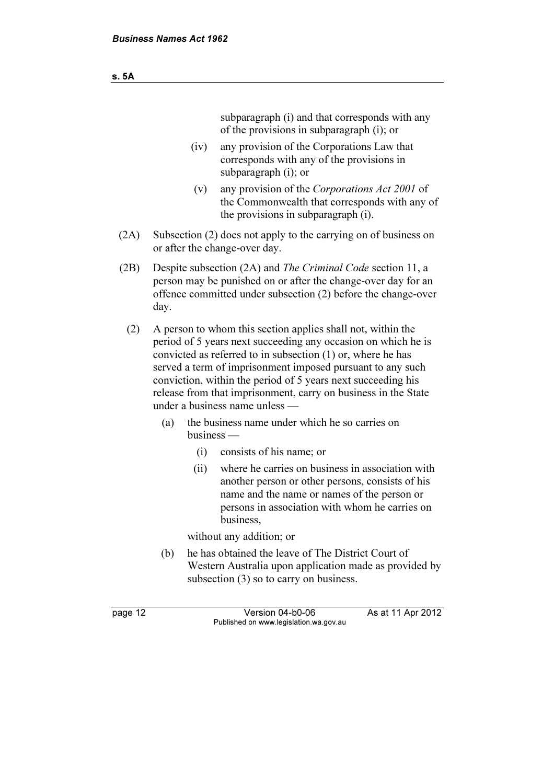subparagraph (i) and that corresponds with any of the provisions in subparagraph (i); or

- (iv) any provision of the Corporations Law that corresponds with any of the provisions in subparagraph (i); or
- (v) any provision of the Corporations Act 2001 of the Commonwealth that corresponds with any of the provisions in subparagraph (i).
- (2A) Subsection (2) does not apply to the carrying on of business on or after the change-over day.
- (2B) Despite subsection (2A) and The Criminal Code section 11, a person may be punished on or after the change-over day for an offence committed under subsection (2) before the change-over day.
	- (2) A person to whom this section applies shall not, within the period of 5 years next succeeding any occasion on which he is convicted as referred to in subsection (1) or, where he has served a term of imprisonment imposed pursuant to any such conviction, within the period of 5 years next succeeding his release from that imprisonment, carry on business in the State under a business name unless —
		- (a) the business name under which he so carries on business —
			- (i) consists of his name; or
			- (ii) where he carries on business in association with another person or other persons, consists of his name and the name or names of the person or persons in association with whom he carries on business,

without any addition; or

 (b) he has obtained the leave of The District Court of Western Australia upon application made as provided by subsection (3) so to carry on business.

page 12 **Version 04-b0-06** As at 11 Apr 2012 Published on www.legislation.wa.gov.au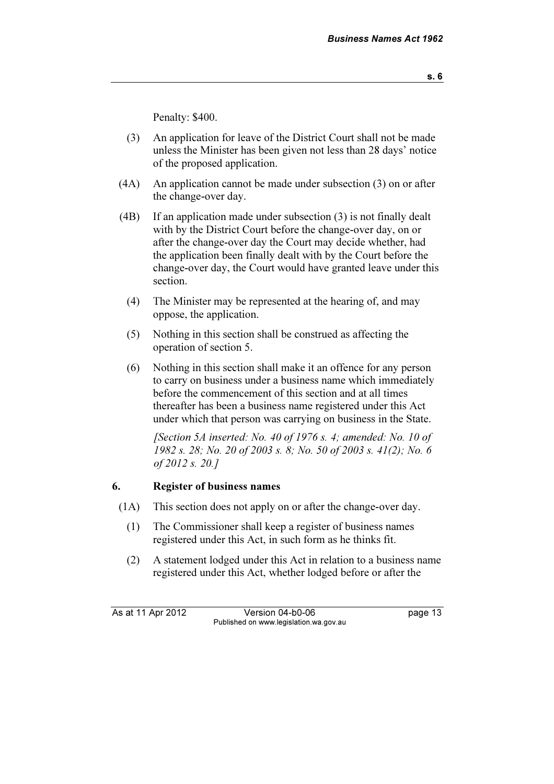Penalty: \$400.

- (3) An application for leave of the District Court shall not be made unless the Minister has been given not less than 28 days' notice of the proposed application.
- (4A) An application cannot be made under subsection (3) on or after the change-over day.
- (4B) If an application made under subsection (3) is not finally dealt with by the District Court before the change-over day, on or after the change-over day the Court may decide whether, had the application been finally dealt with by the Court before the change-over day, the Court would have granted leave under this section.
	- (4) The Minister may be represented at the hearing of, and may oppose, the application.
	- (5) Nothing in this section shall be construed as affecting the operation of section 5.
	- (6) Nothing in this section shall make it an offence for any person to carry on business under a business name which immediately before the commencement of this section and at all times thereafter has been a business name registered under this Act under which that person was carrying on business in the State.

[Section 5A inserted: No. 40 of 1976 s. 4; amended: No. 10 of 1982 s. 28; No. 20 of 2003 s. 8; No. 50 of 2003 s. 41(2); No. 6 of 2012 s. 20.]

#### 6. Register of business names

- (1A) This section does not apply on or after the change-over day.
	- (1) The Commissioner shall keep a register of business names registered under this Act, in such form as he thinks fit.
	- (2) A statement lodged under this Act in relation to a business name registered under this Act, whether lodged before or after the

As at 11 Apr 2012 **Version 04-b0-06** page 13 Published on www.legislation.wa.gov.au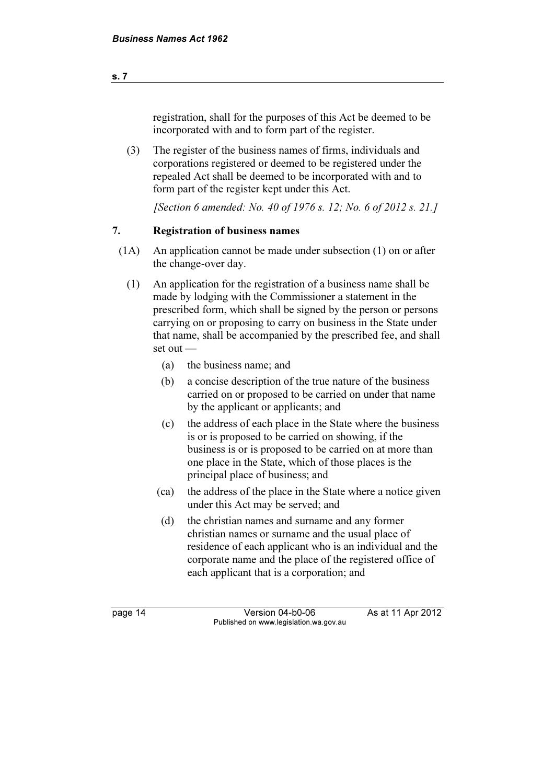registration, shall for the purposes of this Act be deemed to be incorporated with and to form part of the register.

 (3) The register of the business names of firms, individuals and corporations registered or deemed to be registered under the repealed Act shall be deemed to be incorporated with and to form part of the register kept under this Act.

[Section 6 amended: No. 40 of 1976 s. 12; No. 6 of 2012 s. 21.]

## 7. Registration of business names

- (1A) An application cannot be made under subsection (1) on or after the change-over day.
	- (1) An application for the registration of a business name shall be made by lodging with the Commissioner a statement in the prescribed form, which shall be signed by the person or persons carrying on or proposing to carry on business in the State under that name, shall be accompanied by the prescribed fee, and shall set out —
		- (a) the business name; and
		- (b) a concise description of the true nature of the business carried on or proposed to be carried on under that name by the applicant or applicants; and
		- (c) the address of each place in the State where the business is or is proposed to be carried on showing, if the business is or is proposed to be carried on at more than one place in the State, which of those places is the principal place of business; and
		- (ca) the address of the place in the State where a notice given under this Act may be served; and
		- (d) the christian names and surname and any former christian names or surname and the usual place of residence of each applicant who is an individual and the corporate name and the place of the registered office of each applicant that is a corporation; and

page 14 Version 04-b0-06 As at 11 Apr 2012 Published on www.legislation.wa.gov.au

s. 7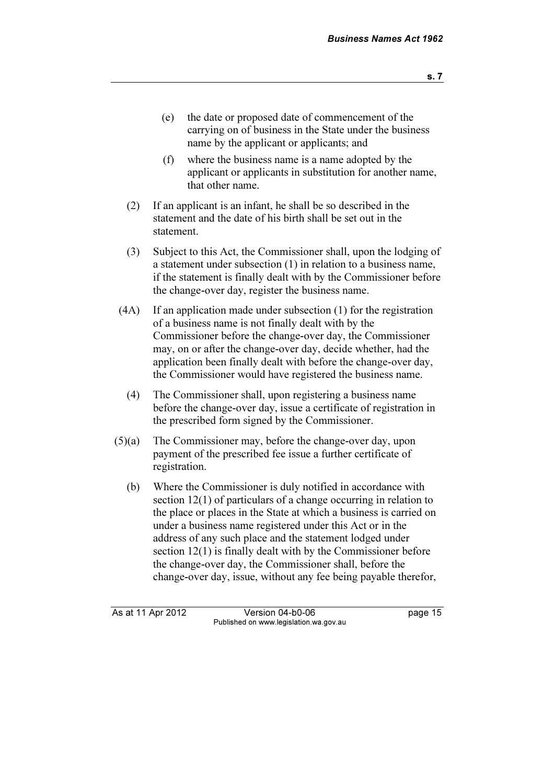- (e) the date or proposed date of commencement of the carrying on of business in the State under the business name by the applicant or applicants; and
- (f) where the business name is a name adopted by the applicant or applicants in substitution for another name, that other name.
- (2) If an applicant is an infant, he shall be so described in the statement and the date of his birth shall be set out in the statement.
- (3) Subject to this Act, the Commissioner shall, upon the lodging of a statement under subsection (1) in relation to a business name, if the statement is finally dealt with by the Commissioner before the change-over day, register the business name.
- (4A) If an application made under subsection (1) for the registration of a business name is not finally dealt with by the Commissioner before the change-over day, the Commissioner may, on or after the change-over day, decide whether, had the application been finally dealt with before the change-over day, the Commissioner would have registered the business name.
	- (4) The Commissioner shall, upon registering a business name before the change-over day, issue a certificate of registration in the prescribed form signed by the Commissioner.
- (5)(a) The Commissioner may, before the change-over day, upon payment of the prescribed fee issue a further certificate of registration.
	- (b) Where the Commissioner is duly notified in accordance with section 12(1) of particulars of a change occurring in relation to the place or places in the State at which a business is carried on under a business name registered under this Act or in the address of any such place and the statement lodged under section 12(1) is finally dealt with by the Commissioner before the change-over day, the Commissioner shall, before the change-over day, issue, without any fee being payable therefor,

As at 11 Apr 2012 **Version 04-b0-06 page 15** Published on www.legislation.wa.gov.au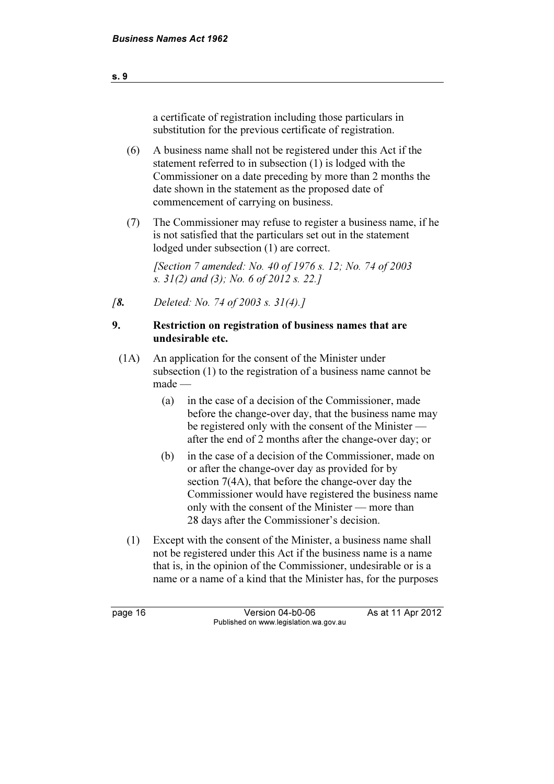- (6) A business name shall not be registered under this Act if the statement referred to in subsection (1) is lodged with the Commissioner on a date preceding by more than 2 months the date shown in the statement as the proposed date of commencement of carrying on business.
- (7) The Commissioner may refuse to register a business name, if he is not satisfied that the particulars set out in the statement lodged under subsection (1) are correct.

 [Section 7 amended: No. 40 of 1976 s. 12; No. 74 of 2003 s. 31(2) and (3); No. 6 of 2012 s. 22.]

[8. Deleted: No. 74 of 2003 s. 31(4).]

#### 9. Restriction on registration of business names that are undesirable etc.

- (1A) An application for the consent of the Minister under subsection (1) to the registration of a business name cannot be made —
	- (a) in the case of a decision of the Commissioner, made before the change-over day, that the business name may be registered only with the consent of the Minister after the end of 2 months after the change-over day; or
	- (b) in the case of a decision of the Commissioner, made on or after the change-over day as provided for by section 7(4A), that before the change-over day the Commissioner would have registered the business name only with the consent of the Minister — more than 28 days after the Commissioner's decision.
	- (1) Except with the consent of the Minister, a business name shall not be registered under this Act if the business name is a name that is, in the opinion of the Commissioner, undesirable or is a name or a name of a kind that the Minister has, for the purposes

page 16 **Version 04-b0-06** As at 11 Apr 2012 Published on www.legislation.wa.gov.au

s. 9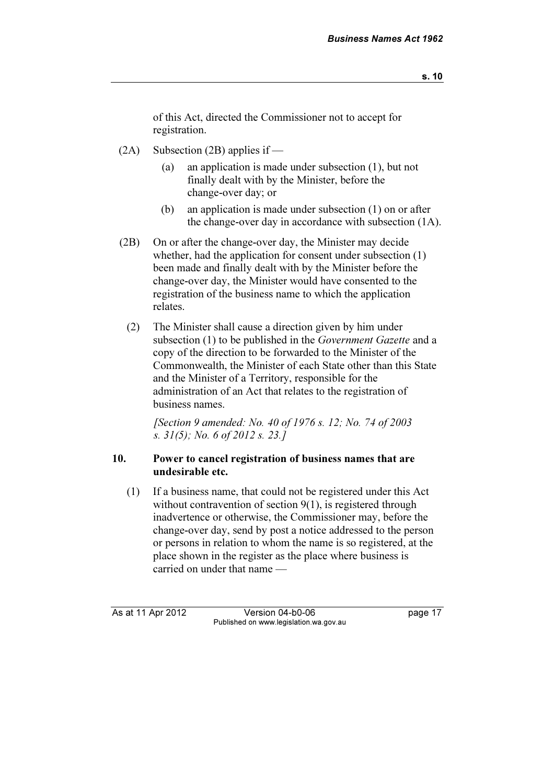of this Act, directed the Commissioner not to accept for registration.

- (2A) Subsection (2B) applies if
	- (a) an application is made under subsection (1), but not finally dealt with by the Minister, before the change-over day; or
	- (b) an application is made under subsection (1) on or after the change-over day in accordance with subsection (1A).
- (2B) On or after the change-over day, the Minister may decide whether, had the application for consent under subsection (1) been made and finally dealt with by the Minister before the change-over day, the Minister would have consented to the registration of the business name to which the application relates.
	- (2) The Minister shall cause a direction given by him under subsection (1) to be published in the *Government Gazette* and a copy of the direction to be forwarded to the Minister of the Commonwealth, the Minister of each State other than this State and the Minister of a Territory, responsible for the administration of an Act that relates to the registration of business names.

 [Section 9 amended: No. 40 of 1976 s. 12; No. 74 of 2003 s. 31(5); No. 6 of 2012 s. 23.]

#### 10. Power to cancel registration of business names that are undesirable etc.

 (1) If a business name, that could not be registered under this Act without contravention of section 9(1), is registered through inadvertence or otherwise, the Commissioner may, before the change-over day, send by post a notice addressed to the person or persons in relation to whom the name is so registered, at the place shown in the register as the place where business is carried on under that name —

As at 11 Apr 2012 Version 04-b0-06 Page 17 Published on www.legislation.wa.gov.au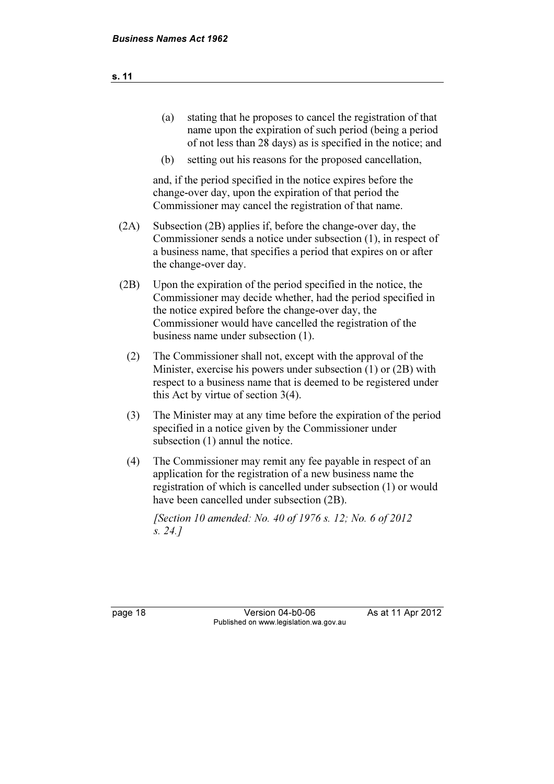- (a) stating that he proposes to cancel the registration of that name upon the expiration of such period (being a period of not less than 28 days) as is specified in the notice; and
- (b) setting out his reasons for the proposed cancellation,

 and, if the period specified in the notice expires before the change-over day, upon the expiration of that period the Commissioner may cancel the registration of that name.

- (2A) Subsection (2B) applies if, before the change-over day, the Commissioner sends a notice under subsection (1), in respect of a business name, that specifies a period that expires on or after the change-over day.
- (2B) Upon the expiration of the period specified in the notice, the Commissioner may decide whether, had the period specified in the notice expired before the change-over day, the Commissioner would have cancelled the registration of the business name under subsection (1).
	- (2) The Commissioner shall not, except with the approval of the Minister, exercise his powers under subsection (1) or (2B) with respect to a business name that is deemed to be registered under this Act by virtue of section 3(4).
	- (3) The Minister may at any time before the expiration of the period specified in a notice given by the Commissioner under subsection (1) annul the notice.
	- (4) The Commissioner may remit any fee payable in respect of an application for the registration of a new business name the registration of which is cancelled under subsection (1) or would have been cancelled under subsection (2B).

 [Section 10 amended: No. 40 of 1976 s. 12; No. 6 of 2012 s. 24.]

page 18 Version 04-b0-06 As at 11 Apr 2012 Published on www.legislation.wa.gov.au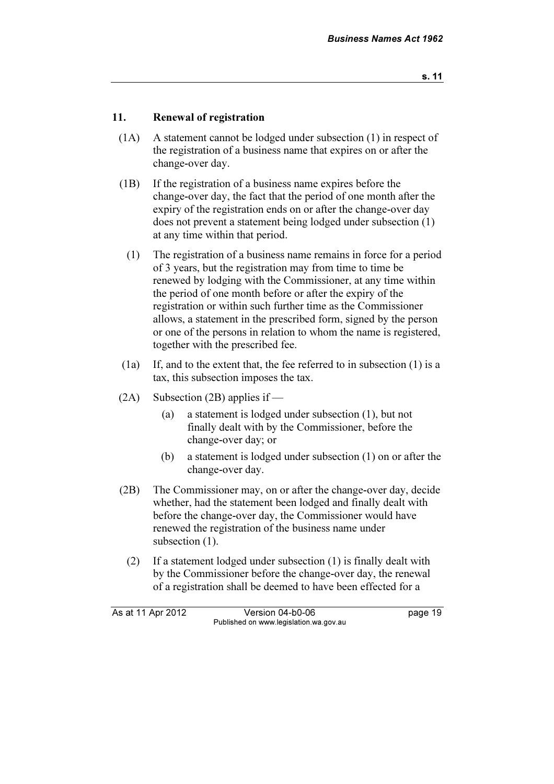#### s. 11

#### 11. Renewal of registration

- (1A) A statement cannot be lodged under subsection (1) in respect of the registration of a business name that expires on or after the change-over day.
- (1B) If the registration of a business name expires before the change-over day, the fact that the period of one month after the expiry of the registration ends on or after the change-over day does not prevent a statement being lodged under subsection (1) at any time within that period.
	- (1) The registration of a business name remains in force for a period of 3 years, but the registration may from time to time be renewed by lodging with the Commissioner, at any time within the period of one month before or after the expiry of the registration or within such further time as the Commissioner allows, a statement in the prescribed form, signed by the person or one of the persons in relation to whom the name is registered, together with the prescribed fee.
- (1a) If, and to the extent that, the fee referred to in subsection (1) is a tax, this subsection imposes the tax.
- (2A) Subsection (2B) applies if
	- (a) a statement is lodged under subsection (1), but not finally dealt with by the Commissioner, before the change-over day; or
	- (b) a statement is lodged under subsection (1) on or after the change-over day.
- (2B) The Commissioner may, on or after the change-over day, decide whether, had the statement been lodged and finally dealt with before the change-over day, the Commissioner would have renewed the registration of the business name under subsection  $(1)$ .
	- (2) If a statement lodged under subsection (1) is finally dealt with by the Commissioner before the change-over day, the renewal of a registration shall be deemed to have been effected for a

As at 11 Apr 2012 Version 04-b0-06 page 19 Published on www.legislation.wa.gov.au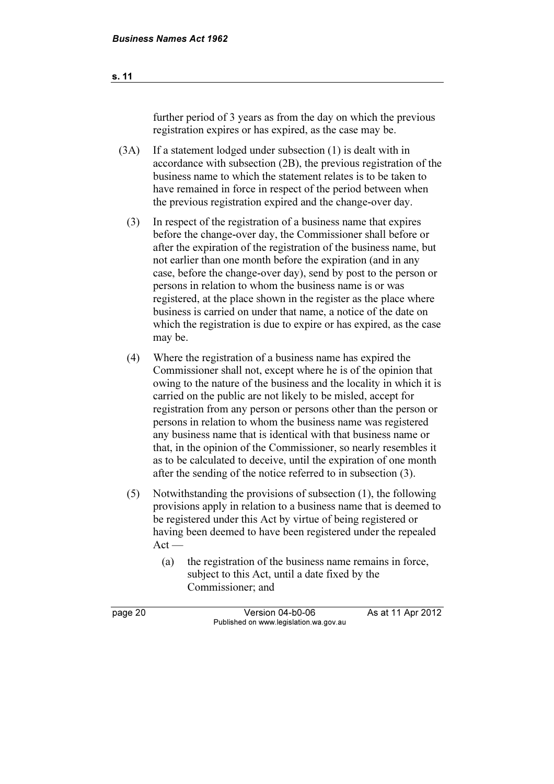further period of 3 years as from the day on which the previous registration expires or has expired, as the case may be.

 (3A) If a statement lodged under subsection (1) is dealt with in accordance with subsection (2B), the previous registration of the business name to which the statement relates is to be taken to have remained in force in respect of the period between when the previous registration expired and the change-over day.

- (3) In respect of the registration of a business name that expires before the change-over day, the Commissioner shall before or after the expiration of the registration of the business name, but not earlier than one month before the expiration (and in any case, before the change-over day), send by post to the person or persons in relation to whom the business name is or was registered, at the place shown in the register as the place where business is carried on under that name, a notice of the date on which the registration is due to expire or has expired, as the case may be.
- (4) Where the registration of a business name has expired the Commissioner shall not, except where he is of the opinion that owing to the nature of the business and the locality in which it is carried on the public are not likely to be misled, accept for registration from any person or persons other than the person or persons in relation to whom the business name was registered any business name that is identical with that business name or that, in the opinion of the Commissioner, so nearly resembles it as to be calculated to deceive, until the expiration of one month after the sending of the notice referred to in subsection (3).
- (5) Notwithstanding the provisions of subsection (1), the following provisions apply in relation to a business name that is deemed to be registered under this Act by virtue of being registered or having been deemed to have been registered under the repealed  $Act -$ 
	- (a) the registration of the business name remains in force, subject to this Act, until a date fixed by the Commissioner; and

Version 04-b0-06 As at 11 Apr 2012 Published on www.legislation.wa.gov.au

s. 11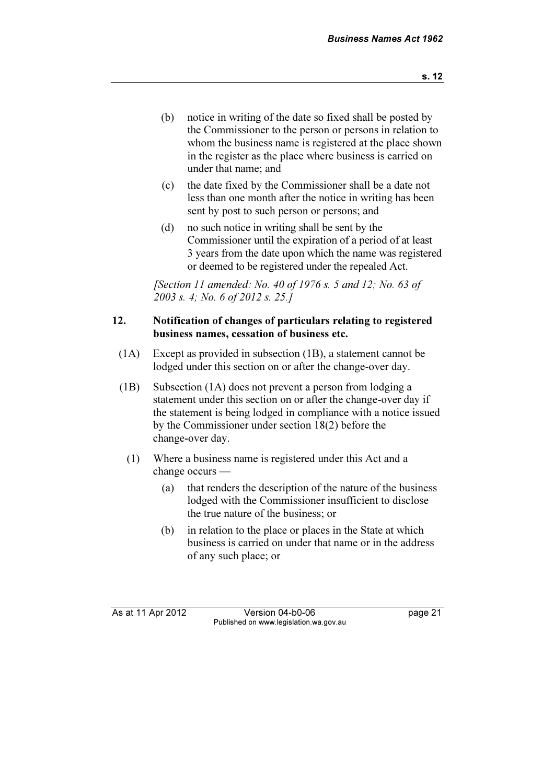- (b) notice in writing of the date so fixed shall be posted by the Commissioner to the person or persons in relation to whom the business name is registered at the place shown in the register as the place where business is carried on under that name; and
- (c) the date fixed by the Commissioner shall be a date not less than one month after the notice in writing has been sent by post to such person or persons; and
- (d) no such notice in writing shall be sent by the Commissioner until the expiration of a period of at least 3 years from the date upon which the name was registered or deemed to be registered under the repealed Act.

[Section 11 amended: No. 40 of 1976 s. 5 and 12; No. 63 of 2003 s. 4; No. 6 of 2012 s. 25.]

#### 12. Notification of changes of particulars relating to registered business names, cessation of business etc.

- (1A) Except as provided in subsection (1B), a statement cannot be lodged under this section on or after the change-over day.
- (1B) Subsection (1A) does not prevent a person from lodging a statement under this section on or after the change-over day if the statement is being lodged in compliance with a notice issued by the Commissioner under section 18(2) before the change-over day.
	- (1) Where a business name is registered under this Act and a change occurs —
		- (a) that renders the description of the nature of the business lodged with the Commissioner insufficient to disclose the true nature of the business; or
		- (b) in relation to the place or places in the State at which business is carried on under that name or in the address of any such place; or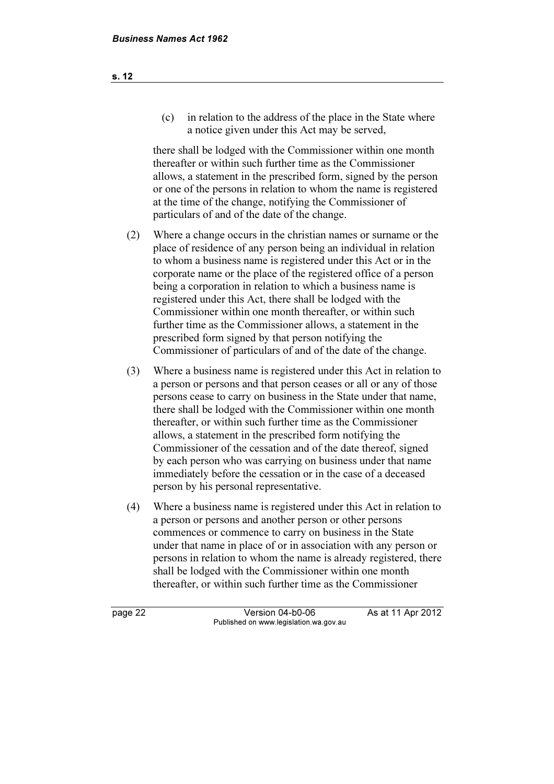(c) in relation to the address of the place in the State where a notice given under this Act may be served,

 there shall be lodged with the Commissioner within one month thereafter or within such further time as the Commissioner allows, a statement in the prescribed form, signed by the person or one of the persons in relation to whom the name is registered at the time of the change, notifying the Commissioner of particulars of and of the date of the change.

- (2) Where a change occurs in the christian names or surname or the place of residence of any person being an individual in relation to whom a business name is registered under this Act or in the corporate name or the place of the registered office of a person being a corporation in relation to which a business name is registered under this Act, there shall be lodged with the Commissioner within one month thereafter, or within such further time as the Commissioner allows, a statement in the prescribed form signed by that person notifying the Commissioner of particulars of and of the date of the change.
- (3) Where a business name is registered under this Act in relation to a person or persons and that person ceases or all or any of those persons cease to carry on business in the State under that name, there shall be lodged with the Commissioner within one month thereafter, or within such further time as the Commissioner allows, a statement in the prescribed form notifying the Commissioner of the cessation and of the date thereof, signed by each person who was carrying on business under that name immediately before the cessation or in the case of a deceased person by his personal representative.
- (4) Where a business name is registered under this Act in relation to a person or persons and another person or other persons commences or commence to carry on business in the State under that name in place of or in association with any person or persons in relation to whom the name is already registered, there shall be lodged with the Commissioner within one month thereafter, or within such further time as the Commissioner

page 22 Version 04-b0-06 As at 11 Apr 2012 Published on www.legislation.wa.gov.au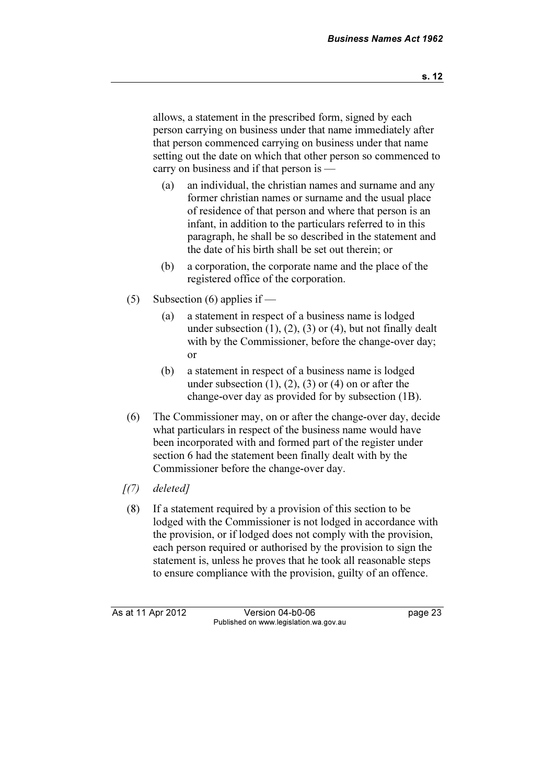allows, a statement in the prescribed form, signed by each person carrying on business under that name immediately after that person commenced carrying on business under that name setting out the date on which that other person so commenced to carry on business and if that person is —

- (a) an individual, the christian names and surname and any former christian names or surname and the usual place of residence of that person and where that person is an infant, in addition to the particulars referred to in this paragraph, he shall be so described in the statement and the date of his birth shall be set out therein; or
- (b) a corporation, the corporate name and the place of the registered office of the corporation.
- (5) Subsection (6) applies if
	- (a) a statement in respect of a business name is lodged under subsection  $(1)$ ,  $(2)$ ,  $(3)$  or  $(4)$ , but not finally dealt with by the Commissioner, before the change-over day; or
	- (b) a statement in respect of a business name is lodged under subsection  $(1)$ ,  $(2)$ ,  $(3)$  or  $(4)$  on or after the change-over day as provided for by subsection (1B).
- (6) The Commissioner may, on or after the change-over day, decide what particulars in respect of the business name would have been incorporated with and formed part of the register under section 6 had the statement been finally dealt with by the Commissioner before the change-over day.
- $(7)$  deleted]
- (8) If a statement required by a provision of this section to be lodged with the Commissioner is not lodged in accordance with the provision, or if lodged does not comply with the provision, each person required or authorised by the provision to sign the statement is, unless he proves that he took all reasonable steps to ensure compliance with the provision, guilty of an offence.

As at 11 Apr 2012 Version 04-b0-06 page 23 Published on www.legislation.wa.gov.au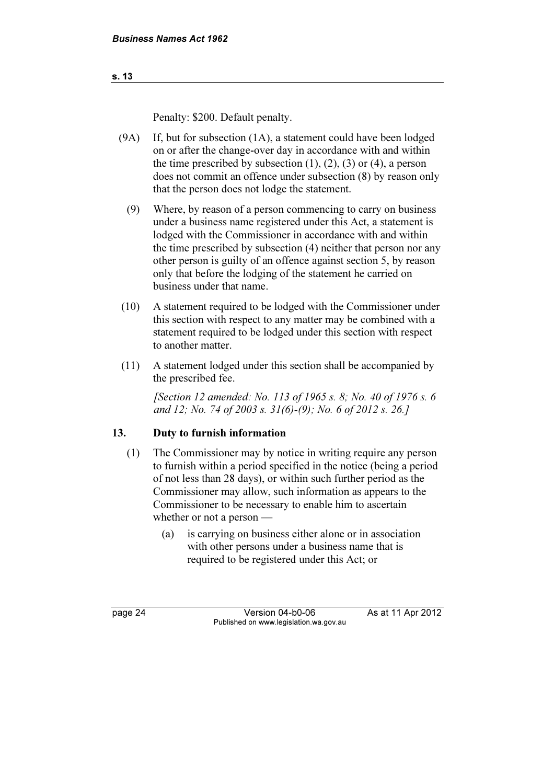Penalty: \$200. Default penalty.

- (9A) If, but for subsection (1A), a statement could have been lodged on or after the change-over day in accordance with and within the time prescribed by subsection  $(1)$ ,  $(2)$ ,  $(3)$  or  $(4)$ , a person does not commit an offence under subsection (8) by reason only that the person does not lodge the statement.
	- (9) Where, by reason of a person commencing to carry on business under a business name registered under this Act, a statement is lodged with the Commissioner in accordance with and within the time prescribed by subsection (4) neither that person nor any other person is guilty of an offence against section 5, by reason only that before the lodging of the statement he carried on business under that name.
- (10) A statement required to be lodged with the Commissioner under this section with respect to any matter may be combined with a statement required to be lodged under this section with respect to another matter.
- (11) A statement lodged under this section shall be accompanied by the prescribed fee.

 [Section 12 amended: No. 113 of 1965 s. 8; No. 40 of 1976 s. 6 and 12; No. 74 of 2003 s. 31(6)-(9); No. 6 of 2012 s. 26.]

#### 13. Duty to furnish information

- (1) The Commissioner may by notice in writing require any person to furnish within a period specified in the notice (being a period of not less than 28 days), or within such further period as the Commissioner may allow, such information as appears to the Commissioner to be necessary to enable him to ascertain whether or not a person —
	- (a) is carrying on business either alone or in association with other persons under a business name that is required to be registered under this Act; or

page 24 Version 04-b0-06 As at 11 Apr 2012 Published on www.legislation.wa.gov.au

s. 13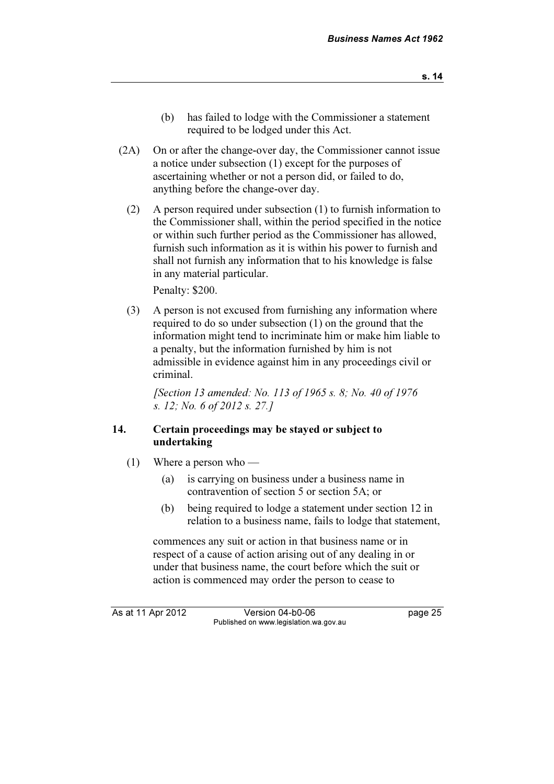- (b) has failed to lodge with the Commissioner a statement required to be lodged under this Act.
- (2A) On or after the change-over day, the Commissioner cannot issue a notice under subsection (1) except for the purposes of ascertaining whether or not a person did, or failed to do, anything before the change-over day.
	- (2) A person required under subsection (1) to furnish information to the Commissioner shall, within the period specified in the notice or within such further period as the Commissioner has allowed, furnish such information as it is within his power to furnish and shall not furnish any information that to his knowledge is false in any material particular.

Penalty: \$200.

 (3) A person is not excused from furnishing any information where required to do so under subsection (1) on the ground that the information might tend to incriminate him or make him liable to a penalty, but the information furnished by him is not admissible in evidence against him in any proceedings civil or criminal.

 [Section 13 amended: No. 113 of 1965 s. 8; No. 40 of 1976 s. 12; No. 6 of 2012 s. 27.]

#### 14. Certain proceedings may be stayed or subject to undertaking

- (1) Where a person who
	- (a) is carrying on business under a business name in contravention of section 5 or section 5A; or
	- (b) being required to lodge a statement under section 12 in relation to a business name, fails to lodge that statement,

 commences any suit or action in that business name or in respect of a cause of action arising out of any dealing in or under that business name, the court before which the suit or action is commenced may order the person to cease to

As at 11 Apr 2012 Version 04-b0-06 page 25 Published on www.legislation.wa.gov.au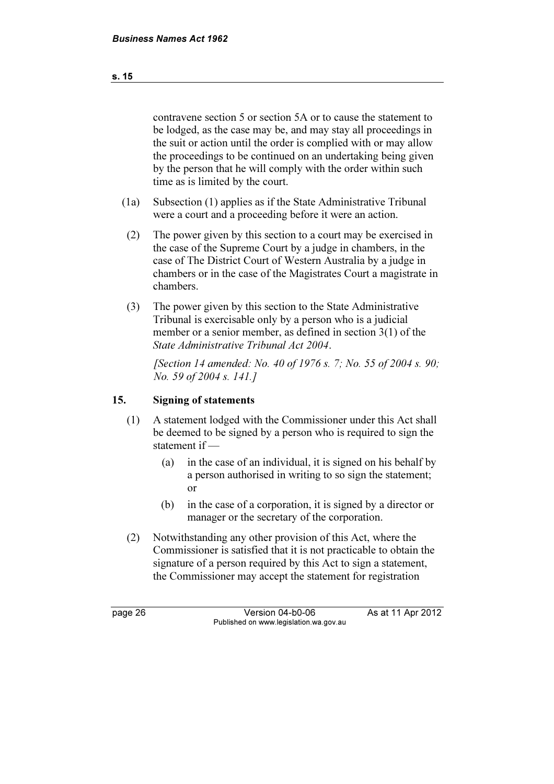contravene section 5 or section 5A or to cause the statement to be lodged, as the case may be, and may stay all proceedings in the suit or action until the order is complied with or may allow the proceedings to be continued on an undertaking being given by the person that he will comply with the order within such time as is limited by the court.

- (1a) Subsection (1) applies as if the State Administrative Tribunal were a court and a proceeding before it were an action.
- (2) The power given by this section to a court may be exercised in the case of the Supreme Court by a judge in chambers, in the case of The District Court of Western Australia by a judge in chambers or in the case of the Magistrates Court a magistrate in chambers.
- (3) The power given by this section to the State Administrative Tribunal is exercisable only by a person who is a judicial member or a senior member, as defined in section 3(1) of the State Administrative Tribunal Act 2004.

 [Section 14 amended: No. 40 of 1976 s. 7; No. 55 of 2004 s. 90; No. 59 of 2004 s. 141.]

## 15. Signing of statements

- (1) A statement lodged with the Commissioner under this Act shall be deemed to be signed by a person who is required to sign the statement if —
	- (a) in the case of an individual, it is signed on his behalf by a person authorised in writing to so sign the statement; or
	- (b) in the case of a corporation, it is signed by a director or manager or the secretary of the corporation.
- (2) Notwithstanding any other provision of this Act, where the Commissioner is satisfied that it is not practicable to obtain the signature of a person required by this Act to sign a statement, the Commissioner may accept the statement for registration

page 26 Version 04-b0-06 As at 11 Apr 2012 Published on www.legislation.wa.gov.au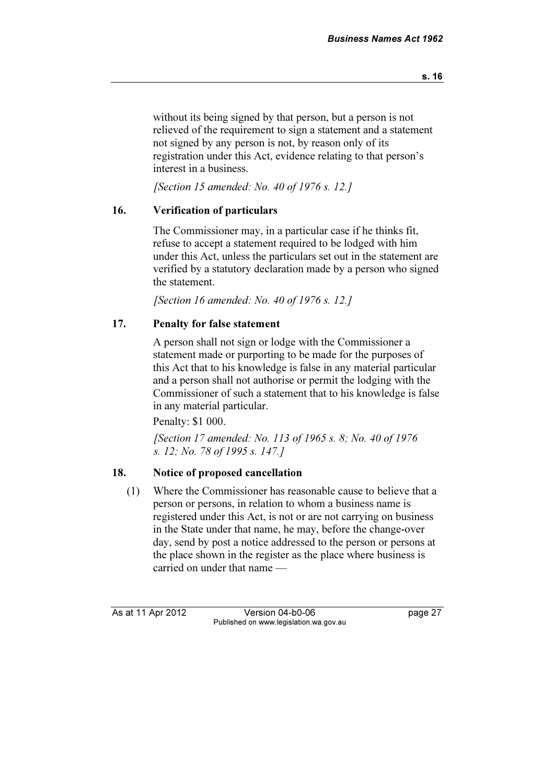without its being signed by that person, but a person is not relieved of the requirement to sign a statement and a statement not signed by any person is not, by reason only of its registration under this Act, evidence relating to that person's interest in a business.

[Section 15 amended: No. 40 of 1976 s. 12.]

## 16. Verification of particulars

 The Commissioner may, in a particular case if he thinks fit, refuse to accept a statement required to be lodged with him under this Act, unless the particulars set out in the statement are verified by a statutory declaration made by a person who signed the statement.

[Section 16 amended: No. 40 of 1976 s. 12.]

## 17. Penalty for false statement

 A person shall not sign or lodge with the Commissioner a statement made or purporting to be made for the purposes of this Act that to his knowledge is false in any material particular and a person shall not authorise or permit the lodging with the Commissioner of such a statement that to his knowledge is false in any material particular.

Penalty: \$1 000.

 [Section 17 amended: No. 113 of 1965 s. 8; No. 40 of 1976 s. 12; No. 78 of 1995 s. 147.]

## 18. Notice of proposed cancellation

 (1) Where the Commissioner has reasonable cause to believe that a person or persons, in relation to whom a business name is registered under this Act, is not or are not carrying on business in the State under that name, he may, before the change-over day, send by post a notice addressed to the person or persons at the place shown in the register as the place where business is carried on under that name —

As at 11 Apr 2012 Version 04-b0-06 Page 27 Published on www.legislation.wa.gov.au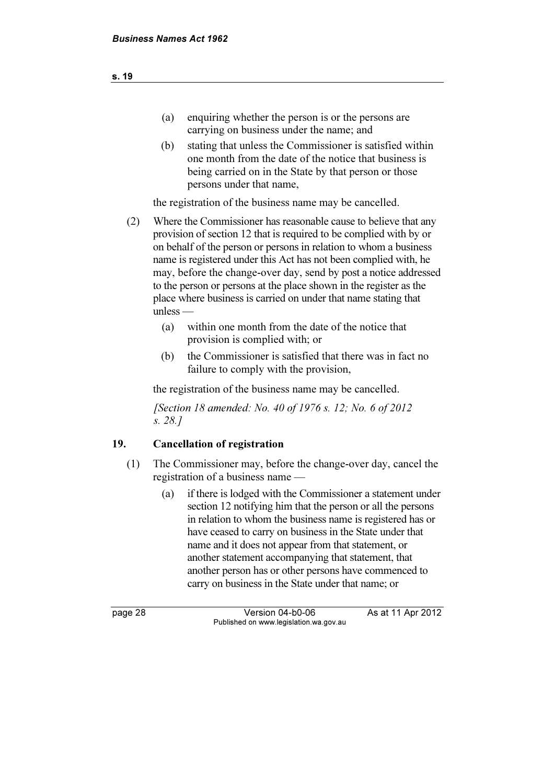- (a) enquiring whether the person is or the persons are carrying on business under the name; and
- (b) stating that unless the Commissioner is satisfied within one month from the date of the notice that business is being carried on in the State by that person or those persons under that name,

the registration of the business name may be cancelled.

- (2) Where the Commissioner has reasonable cause to believe that any provision of section 12 that is required to be complied with by or on behalf of the person or persons in relation to whom a business name is registered under this Act has not been complied with, he may, before the change-over day, send by post a notice addressed to the person or persons at the place shown in the register as the place where business is carried on under that name stating that unless —
	- (a) within one month from the date of the notice that provision is complied with; or
	- (b) the Commissioner is satisfied that there was in fact no failure to comply with the provision,

the registration of the business name may be cancelled.

 [Section 18 amended: No. 40 of 1976 s. 12; No. 6 of 2012 s. 28.]

#### 19. Cancellation of registration

- (1) The Commissioner may, before the change-over day, cancel the registration of a business name —
	- (a) if there is lodged with the Commissioner a statement under section 12 notifying him that the person or all the persons in relation to whom the business name is registered has or have ceased to carry on business in the State under that name and it does not appear from that statement, or another statement accompanying that statement, that another person has or other persons have commenced to carry on business in the State under that name; or

page 28 Version 04-b0-06 As at 11 Apr 2012 Published on www.legislation.wa.gov.au

s. 19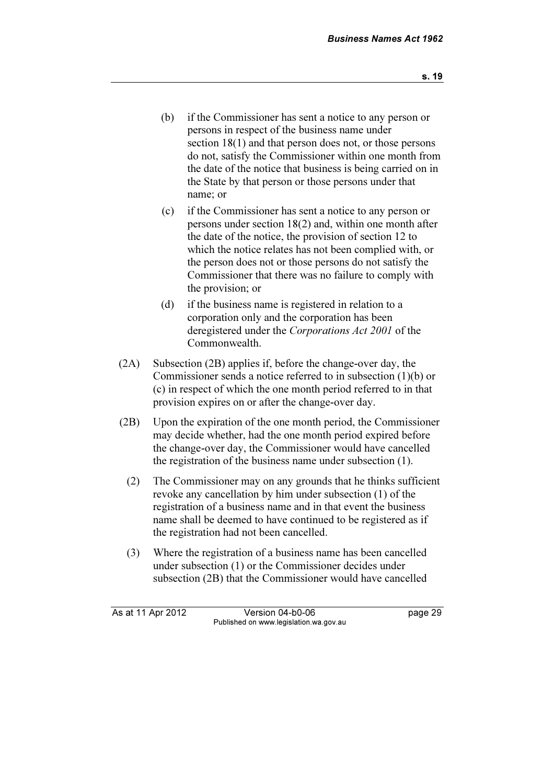- (b) if the Commissioner has sent a notice to any person or persons in respect of the business name under section 18(1) and that person does not, or those persons do not, satisfy the Commissioner within one month from the date of the notice that business is being carried on in the State by that person or those persons under that name; or
- (c) if the Commissioner has sent a notice to any person or persons under section 18(2) and, within one month after the date of the notice, the provision of section 12 to which the notice relates has not been complied with, or the person does not or those persons do not satisfy the Commissioner that there was no failure to comply with the provision; or
- (d) if the business name is registered in relation to a corporation only and the corporation has been deregistered under the Corporations Act 2001 of the Commonwealth.
- (2A) Subsection (2B) applies if, before the change-over day, the Commissioner sends a notice referred to in subsection (1)(b) or (c) in respect of which the one month period referred to in that provision expires on or after the change-over day.
- (2B) Upon the expiration of the one month period, the Commissioner may decide whether, had the one month period expired before the change-over day, the Commissioner would have cancelled the registration of the business name under subsection (1).
	- (2) The Commissioner may on any grounds that he thinks sufficient revoke any cancellation by him under subsection (1) of the registration of a business name and in that event the business name shall be deemed to have continued to be registered as if the registration had not been cancelled.
	- (3) Where the registration of a business name has been cancelled under subsection (1) or the Commissioner decides under subsection (2B) that the Commissioner would have cancelled

As at 11 Apr 2012 Version 04-b0-06 page 29 Published on www.legislation.wa.gov.au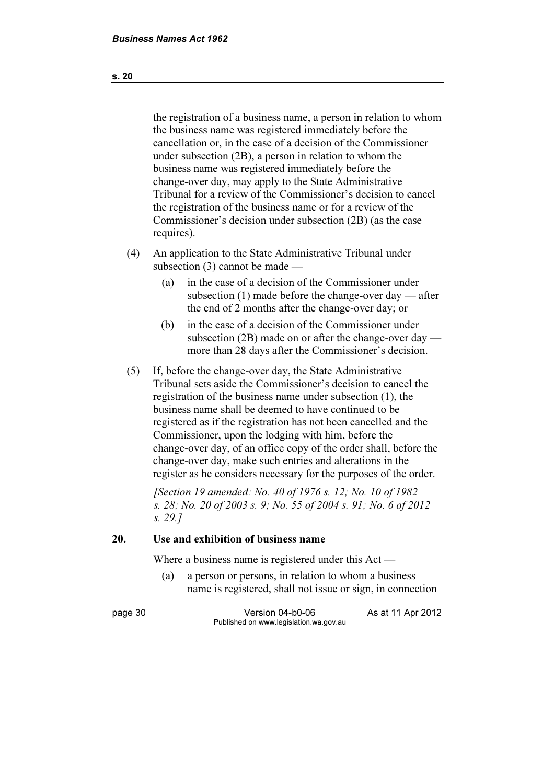the registration of a business name, a person in relation to whom the business name was registered immediately before the cancellation or, in the case of a decision of the Commissioner under subsection (2B), a person in relation to whom the business name was registered immediately before the change-over day, may apply to the State Administrative Tribunal for a review of the Commissioner's decision to cancel the registration of the business name or for a review of the Commissioner's decision under subsection (2B) (as the case requires).

- (4) An application to the State Administrative Tribunal under subsection (3) cannot be made —
	- (a) in the case of a decision of the Commissioner under subsection  $(1)$  made before the change-over day — after the end of 2 months after the change-over day; or
	- (b) in the case of a decision of the Commissioner under subsection (2B) made on or after the change-over day more than 28 days after the Commissioner's decision.
- (5) If, before the change-over day, the State Administrative Tribunal sets aside the Commissioner's decision to cancel the registration of the business name under subsection (1), the business name shall be deemed to have continued to be registered as if the registration has not been cancelled and the Commissioner, upon the lodging with him, before the change-over day, of an office copy of the order shall, before the change-over day, make such entries and alterations in the register as he considers necessary for the purposes of the order.

 [Section 19 amended: No. 40 of 1976 s. 12; No. 10 of 1982 s. 28; No. 20 of 2003 s. 9; No. 55 of 2004 s. 91; No. 6 of 2012 s. 29.]

#### 20. Use and exhibition of business name

Where a business name is registered under this Act —

 (a) a person or persons, in relation to whom a business name is registered, shall not issue or sign, in connection

page 30 **Version 04-b0-06** As at 11 Apr 2012 Published on www.legislation.wa.gov.au

s. 20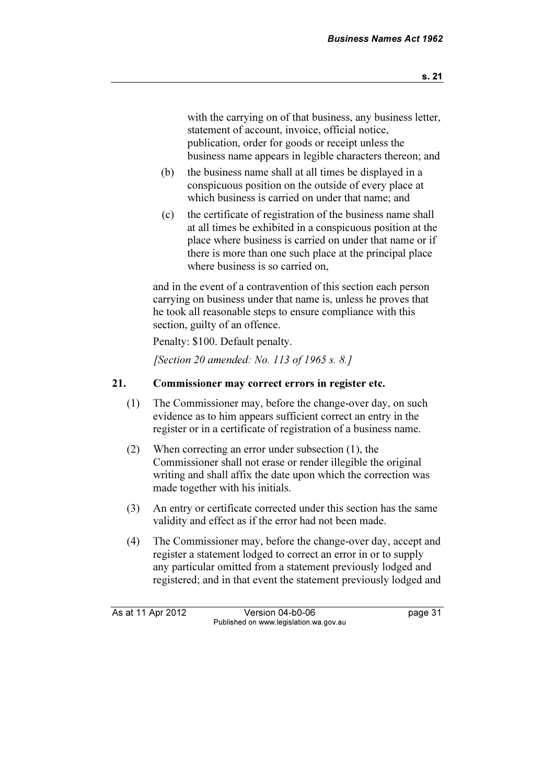with the carrying on of that business, any business letter, statement of account, invoice, official notice, publication, order for goods or receipt unless the business name appears in legible characters thereon; and

- (b) the business name shall at all times be displayed in a conspicuous position on the outside of every place at which business is carried on under that name; and
- (c) the certificate of registration of the business name shall at all times be exhibited in a conspicuous position at the place where business is carried on under that name or if there is more than one such place at the principal place where business is so carried on.

 and in the event of a contravention of this section each person carrying on business under that name is, unless he proves that he took all reasonable steps to ensure compliance with this section, guilty of an offence.

Penalty: \$100. Default penalty.

[Section 20 amended: No. 113 of 1965 s. 8.]

## 21. Commissioner may correct errors in register etc.

- (1) The Commissioner may, before the change-over day, on such evidence as to him appears sufficient correct an entry in the register or in a certificate of registration of a business name.
- (2) When correcting an error under subsection (1), the Commissioner shall not erase or render illegible the original writing and shall affix the date upon which the correction was made together with his initials.
- (3) An entry or certificate corrected under this section has the same validity and effect as if the error had not been made.
- (4) The Commissioner may, before the change-over day, accept and register a statement lodged to correct an error in or to supply any particular omitted from a statement previously lodged and registered; and in that event the statement previously lodged and

As at 11 Apr 2012 Version 04-b0-06 page 31 Published on www.legislation.wa.gov.au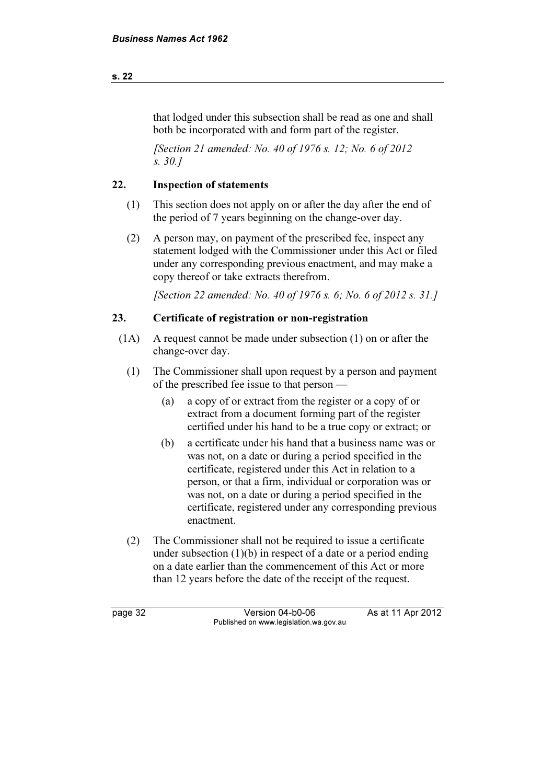#### s. 22

that lodged under this subsection shall be read as one and shall both be incorporated with and form part of the register.

 [Section 21 amended: No. 40 of 1976 s. 12; No. 6 of 2012 s. 30.]

## 22. Inspection of statements

- (1) This section does not apply on or after the day after the end of the period of 7 years beginning on the change-over day.
- (2) A person may, on payment of the prescribed fee, inspect any statement lodged with the Commissioner under this Act or filed under any corresponding previous enactment, and may make a copy thereof or take extracts therefrom.

[Section 22 amended: No. 40 of 1976 s. 6; No. 6 of 2012 s. 31.]

## 23. Certificate of registration or non-registration

- (1A) A request cannot be made under subsection (1) on or after the change-over day.
	- (1) The Commissioner shall upon request by a person and payment of the prescribed fee issue to that person —
		- (a) a copy of or extract from the register or a copy of or extract from a document forming part of the register certified under his hand to be a true copy or extract; or
		- (b) a certificate under his hand that a business name was or was not, on a date or during a period specified in the certificate, registered under this Act in relation to a person, or that a firm, individual or corporation was or was not, on a date or during a period specified in the certificate, registered under any corresponding previous enactment.
	- (2) The Commissioner shall not be required to issue a certificate under subsection (1)(b) in respect of a date or a period ending on a date earlier than the commencement of this Act or more than 12 years before the date of the receipt of the request.

page 32 Version 04-b0-06 As at 11 Apr 2012 Published on www.legislation.wa.gov.au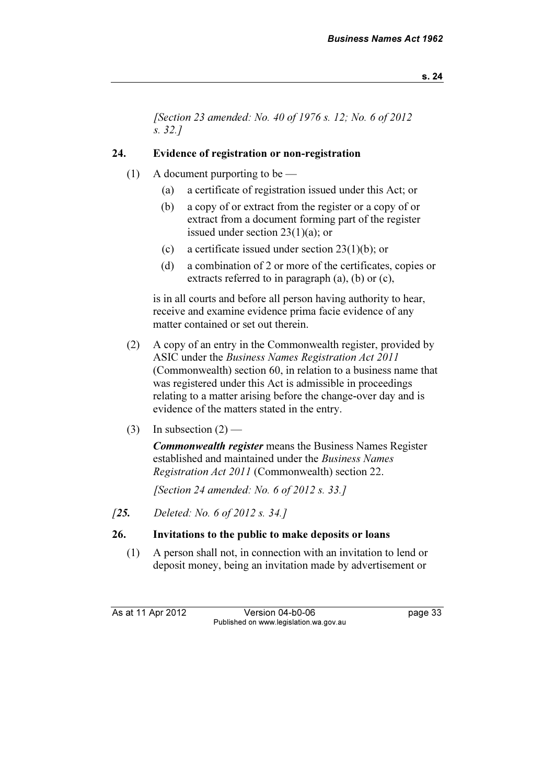[Section 23 amended: No. 40 of 1976 s. 12; No. 6 of 2012 s. 32.]

## 24. Evidence of registration or non-registration

- (1) A document purporting to be
	- (a) a certificate of registration issued under this Act; or
	- (b) a copy of or extract from the register or a copy of or extract from a document forming part of the register issued under section 23(1)(a); or
	- (c) a certificate issued under section 23(1)(b); or
	- (d) a combination of 2 or more of the certificates, copies or extracts referred to in paragraph (a), (b) or (c),

 is in all courts and before all person having authority to hear, receive and examine evidence prima facie evidence of any matter contained or set out therein.

- (2) A copy of an entry in the Commonwealth register, provided by ASIC under the Business Names Registration Act 2011 (Commonwealth) section 60, in relation to a business name that was registered under this Act is admissible in proceedings relating to a matter arising before the change-over day and is evidence of the matters stated in the entry.
- (3) In subsection  $(2)$  —

Commonwealth register means the Business Names Register established and maintained under the *Business Names* Registration Act 2011 (Commonwealth) section 22.

[Section 24 amended: No. 6 of 2012 s. 33.]

[25. Deleted: No. 6 of 2012 s. 34.]

## 26. Invitations to the public to make deposits or loans

 (1) A person shall not, in connection with an invitation to lend or deposit money, being an invitation made by advertisement or

As at 11 Apr 2012 **Version 04-b0-06 page 33** Published on www.legislation.wa.gov.au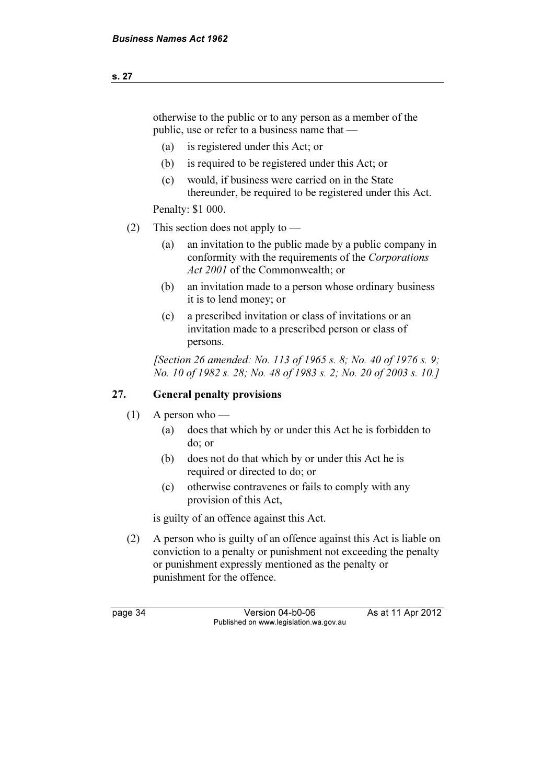otherwise to the public or to any person as a member of the public, use or refer to a business name that —

- (a) is registered under this Act; or
- (b) is required to be registered under this Act; or
- (c) would, if business were carried on in the State thereunder, be required to be registered under this Act.

Penalty: \$1 000.

- (2) This section does not apply to
	- (a) an invitation to the public made by a public company in conformity with the requirements of the Corporations Act 2001 of the Commonwealth; or
	- (b) an invitation made to a person whose ordinary business it is to lend money; or
	- (c) a prescribed invitation or class of invitations or an invitation made to a prescribed person or class of persons.

[Section 26 amended: No. 113 of 1965 s. 8; No. 40 of 1976 s. 9; No. 10 of 1982 s. 28; No. 48 of 1983 s. 2; No. 20 of 2003 s. 10.]

## 27. General penalty provisions

- $(1)$  A person who
	- (a) does that which by or under this Act he is forbidden to do; or
	- (b) does not do that which by or under this Act he is required or directed to do; or
	- (c) otherwise contravenes or fails to comply with any provision of this Act,

is guilty of an offence against this Act.

 (2) A person who is guilty of an offence against this Act is liable on conviction to a penalty or punishment not exceeding the penalty or punishment expressly mentioned as the penalty or punishment for the offence.

page 34 Version 04-b0-06 As at 11 Apr 2012 Published on www.legislation.wa.gov.au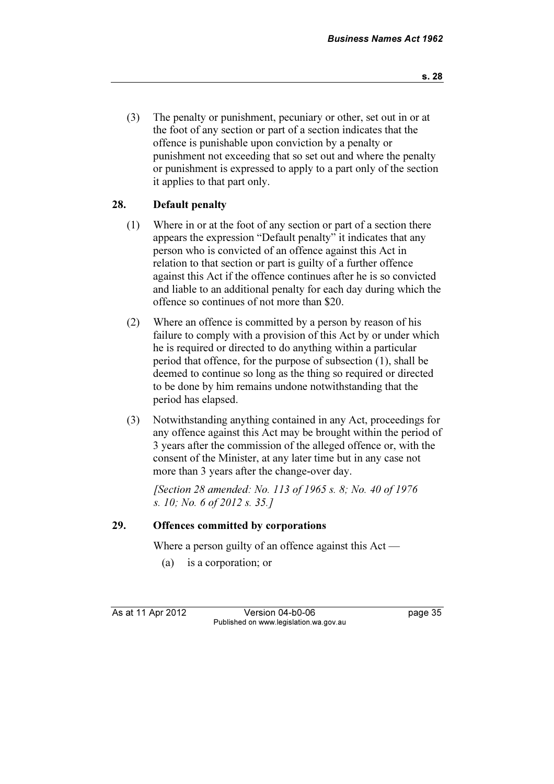(3) The penalty or punishment, pecuniary or other, set out in or at the foot of any section or part of a section indicates that the offence is punishable upon conviction by a penalty or punishment not exceeding that so set out and where the penalty or punishment is expressed to apply to a part only of the section it applies to that part only.

## 28. Default penalty

- (1) Where in or at the foot of any section or part of a section there appears the expression "Default penalty" it indicates that any person who is convicted of an offence against this Act in relation to that section or part is guilty of a further offence against this Act if the offence continues after he is so convicted and liable to an additional penalty for each day during which the offence so continues of not more than \$20.
- (2) Where an offence is committed by a person by reason of his failure to comply with a provision of this Act by or under which he is required or directed to do anything within a particular period that offence, for the purpose of subsection (1), shall be deemed to continue so long as the thing so required or directed to be done by him remains undone notwithstanding that the period has elapsed.
- (3) Notwithstanding anything contained in any Act, proceedings for any offence against this Act may be brought within the period of 3 years after the commission of the alleged offence or, with the consent of the Minister, at any later time but in any case not more than 3 years after the change-over day.

 [Section 28 amended: No. 113 of 1965 s. 8; No. 40 of 1976 s. 10; No. 6 of 2012 s. 35.]

## 29. Offences committed by corporations

Where a person guilty of an offence against this Act —

(a) is a corporation; or

As at 11 Apr 2012 **Version 04-b0-06 page 35** Published on www.legislation.wa.gov.au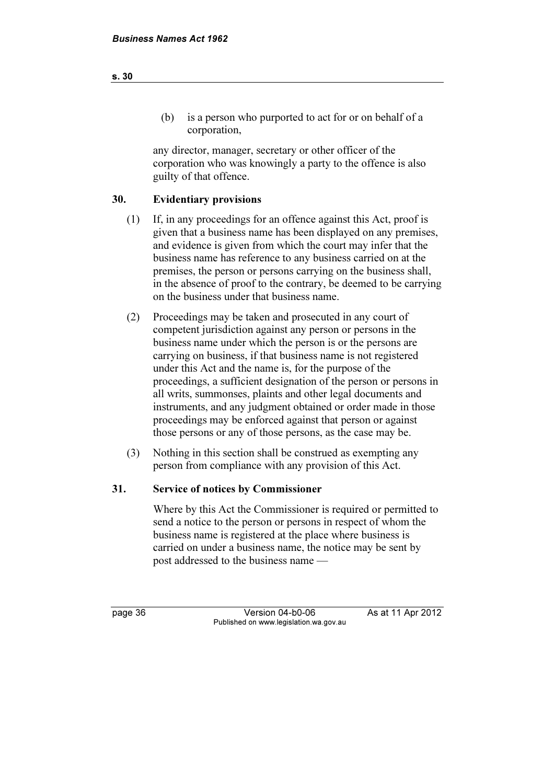(b) is a person who purported to act for or on behalf of a corporation,

 any director, manager, secretary or other officer of the corporation who was knowingly a party to the offence is also guilty of that offence.

#### 30. Evidentiary provisions

- (1) If, in any proceedings for an offence against this Act, proof is given that a business name has been displayed on any premises, and evidence is given from which the court may infer that the business name has reference to any business carried on at the premises, the person or persons carrying on the business shall, in the absence of proof to the contrary, be deemed to be carrying on the business under that business name.
- (2) Proceedings may be taken and prosecuted in any court of competent jurisdiction against any person or persons in the business name under which the person is or the persons are carrying on business, if that business name is not registered under this Act and the name is, for the purpose of the proceedings, a sufficient designation of the person or persons in all writs, summonses, plaints and other legal documents and instruments, and any judgment obtained or order made in those proceedings may be enforced against that person or against those persons or any of those persons, as the case may be.
- (3) Nothing in this section shall be construed as exempting any person from compliance with any provision of this Act.

## 31. Service of notices by Commissioner

 Where by this Act the Commissioner is required or permitted to send a notice to the person or persons in respect of whom the business name is registered at the place where business is carried on under a business name, the notice may be sent by post addressed to the business name —

page 36 Version 04-b0-06 As at 11 Apr 2012 Published on www.legislation.wa.gov.au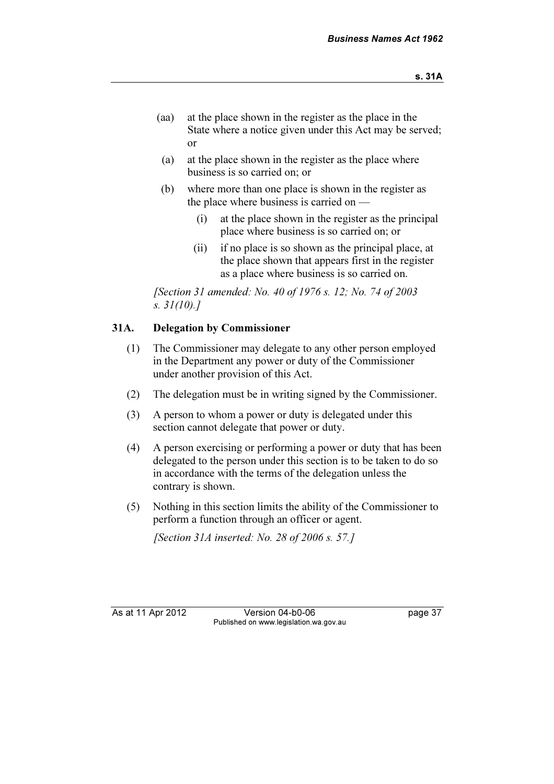- (aa) at the place shown in the register as the place in the State where a notice given under this Act may be served; or
- (a) at the place shown in the register as the place where business is so carried on; or
- (b) where more than one place is shown in the register as the place where business is carried on —
	- (i) at the place shown in the register as the principal place where business is so carried on; or
	- (ii) if no place is so shown as the principal place, at the place shown that appears first in the register as a place where business is so carried on.

 [Section 31 amended: No. 40 of 1976 s. 12; No. 74 of 2003 s. 31(10).]

#### 31A. Delegation by Commissioner

- (1) The Commissioner may delegate to any other person employed in the Department any power or duty of the Commissioner under another provision of this Act.
- (2) The delegation must be in writing signed by the Commissioner.
- (3) A person to whom a power or duty is delegated under this section cannot delegate that power or duty.
- (4) A person exercising or performing a power or duty that has been delegated to the person under this section is to be taken to do so in accordance with the terms of the delegation unless the contrary is shown.
- (5) Nothing in this section limits the ability of the Commissioner to perform a function through an officer or agent.

[Section 31A inserted: No. 28 of 2006 s. 57.]

As at 11 Apr 2012 **Version 04-b0-06 page 37** Published on www.legislation.wa.gov.au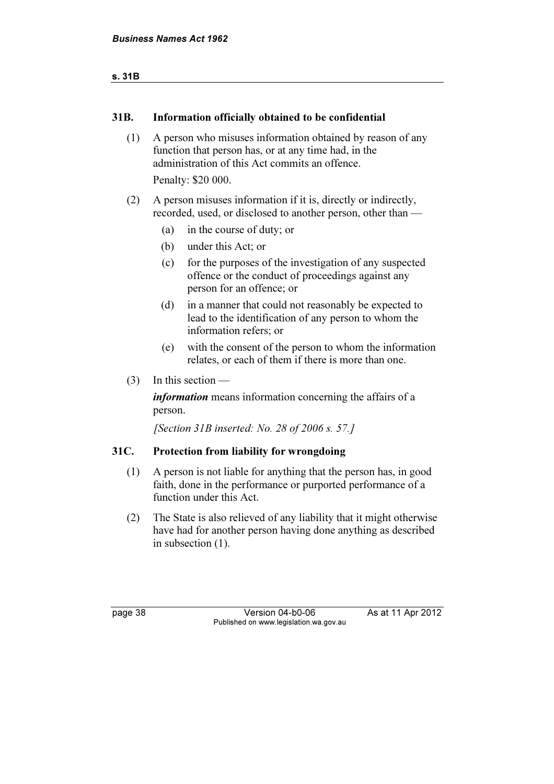#### s. 31B

## 31B. Information officially obtained to be confidential

- (1) A person who misuses information obtained by reason of any function that person has, or at any time had, in the administration of this Act commits an offence. Penalty: \$20 000.
- (2) A person misuses information if it is, directly or indirectly, recorded, used, or disclosed to another person, other than —
	- (a) in the course of duty; or
	- (b) under this Act; or
	- (c) for the purposes of the investigation of any suspected offence or the conduct of proceedings against any person for an offence; or
	- (d) in a manner that could not reasonably be expected to lead to the identification of any person to whom the information refers; or
	- (e) with the consent of the person to whom the information relates, or each of them if there is more than one.
- (3) In this section —

information means information concerning the affairs of a person.

[Section 31B inserted: No. 28 of 2006 s. 57.]

## 31C. Protection from liability for wrongdoing

- (1) A person is not liable for anything that the person has, in good faith, done in the performance or purported performance of a function under this Act.
- (2) The State is also relieved of any liability that it might otherwise have had for another person having done anything as described in subsection (1).

page 38 Version 04-b0-06 As at 11 Apr 2012 Published on www.legislation.wa.gov.au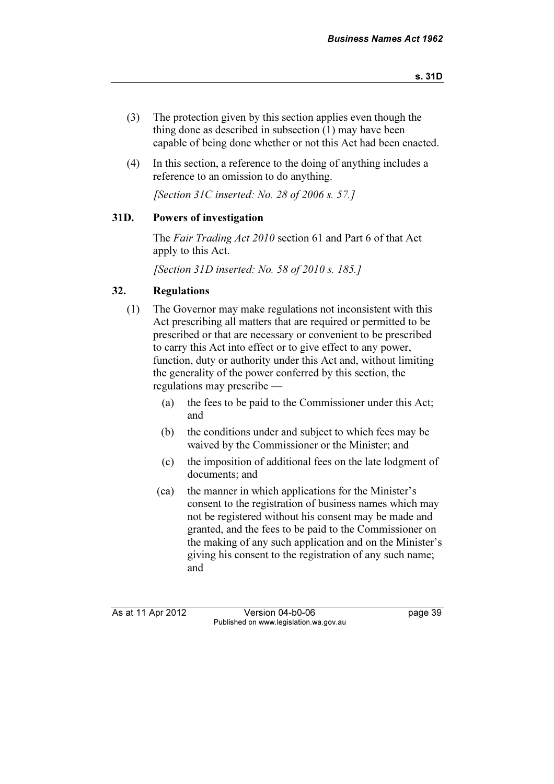- (3) The protection given by this section applies even though the thing done as described in subsection (1) may have been capable of being done whether or not this Act had been enacted.
- (4) In this section, a reference to the doing of anything includes a reference to an omission to do anything.

[Section 31C inserted: No. 28 of 2006 s. 57.]

## 31D. Powers of investigation

The Fair Trading Act 2010 section 61 and Part 6 of that Act apply to this Act.

[Section 31D inserted: No. 58 of 2010 s. 185.]

## 32. Regulations

- (1) The Governor may make regulations not inconsistent with this Act prescribing all matters that are required or permitted to be prescribed or that are necessary or convenient to be prescribed to carry this Act into effect or to give effect to any power, function, duty or authority under this Act and, without limiting the generality of the power conferred by this section, the regulations may prescribe —
	- (a) the fees to be paid to the Commissioner under this Act; and
	- (b) the conditions under and subject to which fees may be waived by the Commissioner or the Minister; and
	- (c) the imposition of additional fees on the late lodgment of documents; and
	- (ca) the manner in which applications for the Minister's consent to the registration of business names which may not be registered without his consent may be made and granted, and the fees to be paid to the Commissioner on the making of any such application and on the Minister's giving his consent to the registration of any such name; and

As at 11 Apr 2012 **Version 04-b0-06 page 39** Published on www.legislation.wa.gov.au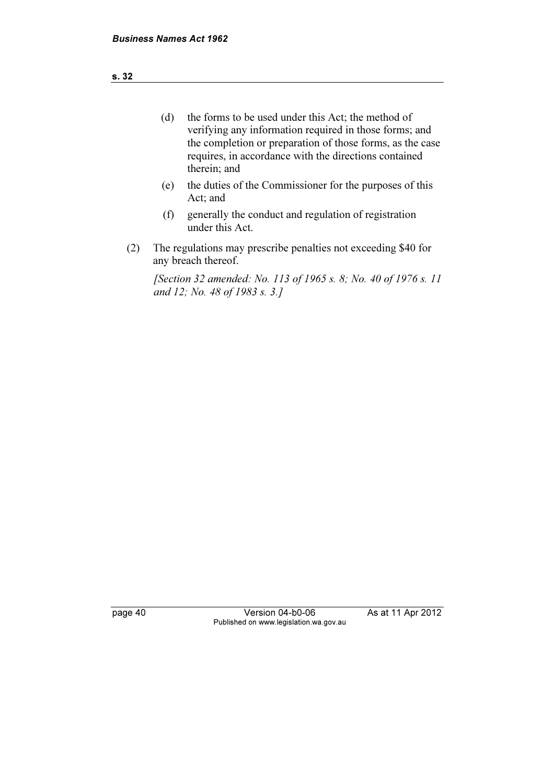- (d) the forms to be used under this Act; the method of verifying any information required in those forms; and the completion or preparation of those forms, as the case requires, in accordance with the directions contained therein; and
- (e) the duties of the Commissioner for the purposes of this Act; and
- (f) generally the conduct and regulation of registration under this Act.
- (2) The regulations may prescribe penalties not exceeding \$40 for any breach thereof.

 [Section 32 amended: No. 113 of 1965 s. 8; No. 40 of 1976 s. 11 and 12; No. 48 of 1983 s. 3.]

page 40 Version 04-b0-06 As at 11 Apr 2012 Published on www.legislation.wa.gov.au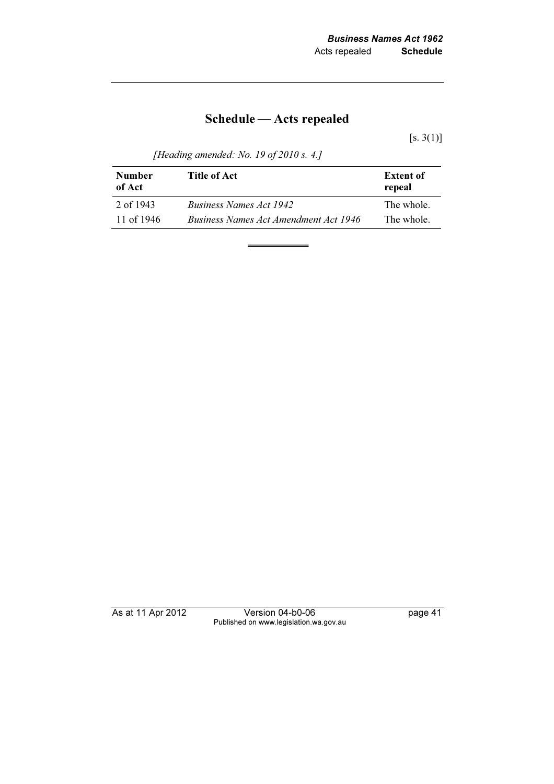# Schedule — Acts repealed

[s. 3(1)]

[Heading amended: No. 19 of 2010 s. 4.]

| <b>Number</b><br>of Act | Title of Act                                 | <b>Extent of</b><br>repeal |
|-------------------------|----------------------------------------------|----------------------------|
| 2 of 1943               | <b>Business Names Act 1942</b>               | The whole.                 |
| 11 of 1946              | <b>Business Names Act Amendment Act 1946</b> | The whole.                 |

As at 11 Apr 2012 <br>Version 04-b0-06 <br>page 41 Published on www.legislation.wa.gov.au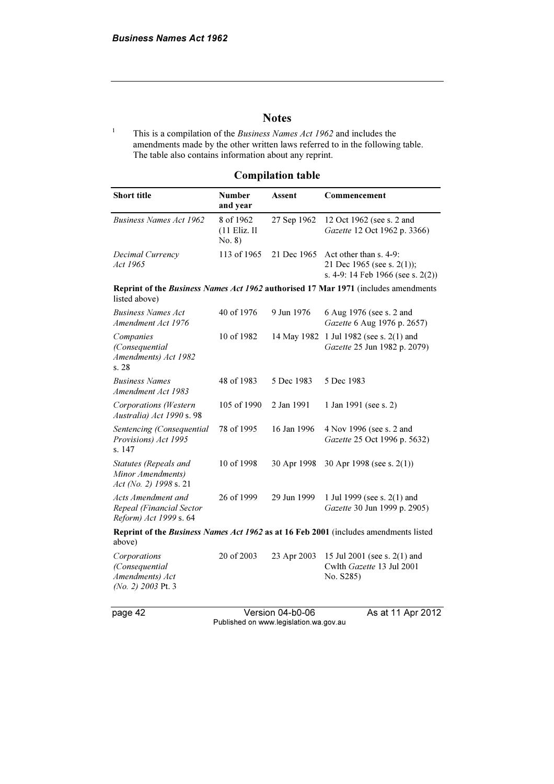#### **Notes**

1 This is a compilation of the Business Names Act 1962 and includes the amendments made by the other written laws referred to in the following table. The table also contains information about any reprint.

Compilation table

| <b>Short title</b>                                                       | <b>Number</b><br>and year             | Assent      | Commencement                                                                                 |
|--------------------------------------------------------------------------|---------------------------------------|-------------|----------------------------------------------------------------------------------------------|
| <b>Business Names Act 1962</b>                                           | 8 of 1962<br>$(11$ Eliz. II<br>No. 8) | 27 Sep 1962 | 12 Oct 1962 (see s. 2 and<br>Gazette 12 Oct 1962 p. 3366)                                    |
| Decimal Currency<br>Act 1965                                             | 113 of 1965                           | 21 Dec 1965 | Act other than s. 4-9:<br>21 Dec 1965 (see s. 2(1));<br>s. 4-9: 14 Feb 1966 (see s. $2(2)$ ) |
| listed above)                                                            |                                       |             | Reprint of the Business Names Act 1962 authorised 17 Mar 1971 (includes amendments           |
| <b>Business Names Act</b><br>Amendment Act 1976                          | 40 of 1976                            | 9 Jun 1976  | 6 Aug 1976 (see s. 2 and<br>Gazette 6 Aug 1976 p. 2657)                                      |
| Companies<br>(Consequential)<br>Amendments) Act 1982<br>s.28             | 10 of 1982                            | 14 May 1982 | 1 Jul 1982 (see s. 2(1) and<br>Gazette 25 Jun 1982 p. 2079)                                  |
| <b>Business Names</b><br>Amendment Act 1983                              | 48 of 1983                            | 5 Dec 1983  | 5 Dec 1983                                                                                   |
| Corporations (Western<br>Australia) Act 1990 s. 98                       | 105 of 1990                           | 2 Jan 1991  | 1 Jan 1991 (see s. 2)                                                                        |
| Sentencing (Consequential<br>Provisions) Act 1995<br>s. 147              | 78 of 1995                            | 16 Jan 1996 | 4 Nov 1996 (see s. 2 and<br>Gazette 25 Oct 1996 p. 5632)                                     |
| Statutes (Repeals and<br>Minor Amendments)<br>Act (No. 2) 1998 s. 21     | 10 of 1998                            | 30 Apr 1998 | 30 Apr 1998 (see s. $2(1)$ )                                                                 |
| Acts Amendment and<br>Repeal (Financial Sector<br>Reform) Act 1999 s. 64 | 26 of 1999                            | 29 Jun 1999 | 1 Jul 1999 (see s. 2(1) and<br>Gazette 30 Jun 1999 p. 2905)                                  |
| above)                                                                   |                                       |             | Reprint of the Business Names Act 1962 as at 16 Feb 2001 (includes amendments listed         |
| Corporations<br>(Consequential<br>Amendments) Act<br>(No. 2) 2003 Pt. 3  | 20 of 2003                            | 23 Apr 2003 | 15 Jul 2001 (see s. 2(1) and<br>Cwlth Gazette 13 Jul 2001<br>No. S285)                       |

page 42 Version 04-b0-06 As at 11 Apr 2012 Published on www.legislation.wa.gov.au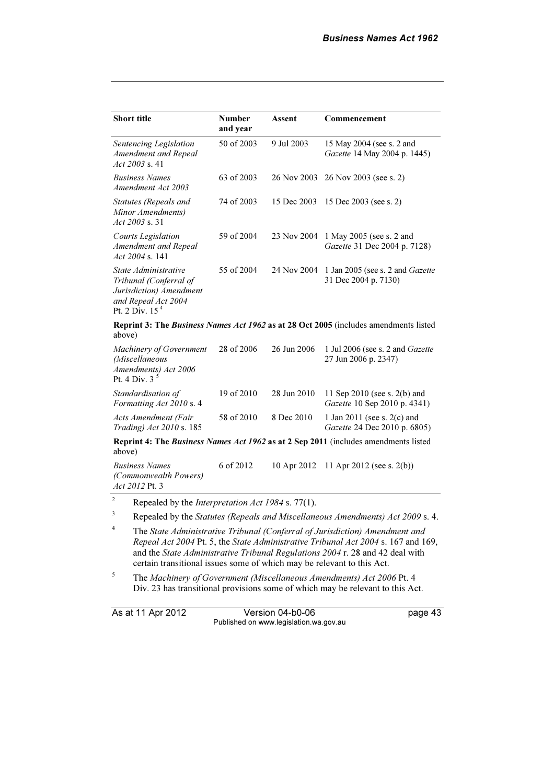| <b>Short title</b>                                                                                                   | Number<br>and year | Assent      | Commencement                                                                         |
|----------------------------------------------------------------------------------------------------------------------|--------------------|-------------|--------------------------------------------------------------------------------------|
| Sentencing Legislation<br>Amendment and Repeal<br>Act 2003 s. 41                                                     | 50 of 2003         | 9 Jul 2003  | 15 May 2004 (see s. 2 and<br>Gazette 14 May 2004 p. 1445)                            |
| <b>Business Names</b><br>Amendment Act 2003                                                                          | 63 of 2003         | 26 Nov 2003 | 26 Nov 2003 (see s. 2)                                                               |
| Statutes (Repeals and<br>Minor Amendments)<br>Act 2003 s. 31                                                         | 74 of 2003         | 15 Dec 2003 | 15 Dec 2003 (see s. 2)                                                               |
| <b>Courts Legislation</b><br>Amendment and Repeal<br>Act 2004 s. 141                                                 | 59 of 2004         | 23 Nov 2004 | 1 May 2005 (see s. 2 and<br>Gazette 31 Dec 2004 p. 7128)                             |
| State Administrative<br>Tribunal (Conferral of<br>Jurisdiction) Amendment<br>and Repeal Act 2004<br>Pt. 2 Div. $154$ | 55 of 2004         | 24 Nov 2004 | 1 Jan 2005 (see s. 2 and Gazette<br>31 Dec 2004 p. 7130)                             |
| above)                                                                                                               |                    |             | Reprint 3: The Business Names Act 1962 as at 28 Oct 2005 (includes amendments listed |
| Machinery of Government<br>(Miscellaneous<br>Amendments) Act 2006<br>Pt. 4 Div. $3^5$                                | 28 of 2006         | 26 Jun 2006 | 1 Jul 2006 (see s. 2 and Gazette<br>27 Jun 2006 p. 2347)                             |
| Standardisation of<br>Formatting Act 2010 s. 4                                                                       | 19 of 2010         | 28 Jun 2010 | 11 Sep 2010 (see s. 2(b) and<br>Gazette 10 Sep 2010 p. 4341)                         |
| <b>Acts Amendment (Fair</b><br>Trading) Act 2010 s. 185                                                              | 58 of 2010         | 8 Dec 2010  | 1 Jan 2011 (see s. $2(c)$ and<br>Gazette 24 Dec 2010 p. 6805)                        |
| above)                                                                                                               |                    |             | Reprint 4: The Business Names Act 1962 as at 2 Sep 2011 (includes amendments listed  |
| <b>Business Names</b><br>(Commonwealth Powers)<br>Act 2012 Pt. 3                                                     | 6 of 2012          | 10 Apr 2012 | 11 Apr 2012 (see s. $2(b)$ )                                                         |
| $\overline{c}$<br>Repealed by the <i>Interpretation Act 1984 s.</i> 77(1).                                           |                    |             |                                                                                      |
| 3                                                                                                                    |                    |             | Repealed by the Statutes (Repeals and Miscellaneous Amendments) Act 2009 s. 4.       |

4 The State Administrative Tribunal (Conferral of Jurisdiction) Amendment and Repeal Act 2004 Pt. 5, the State Administrative Tribunal Act 2004 s. 167 and 169, and the State Administrative Tribunal Regulations 2004 r. 28 and 42 deal with certain transitional issues some of which may be relevant to this Act.

5 The Machinery of Government (Miscellaneous Amendments) Act 2006 Pt. 4 Div. 23 has transitional provisions some of which may be relevant to this Act.

As at 11 Apr 2012 Version 04-b0-06 page 43 Published on www.legislation.wa.gov.au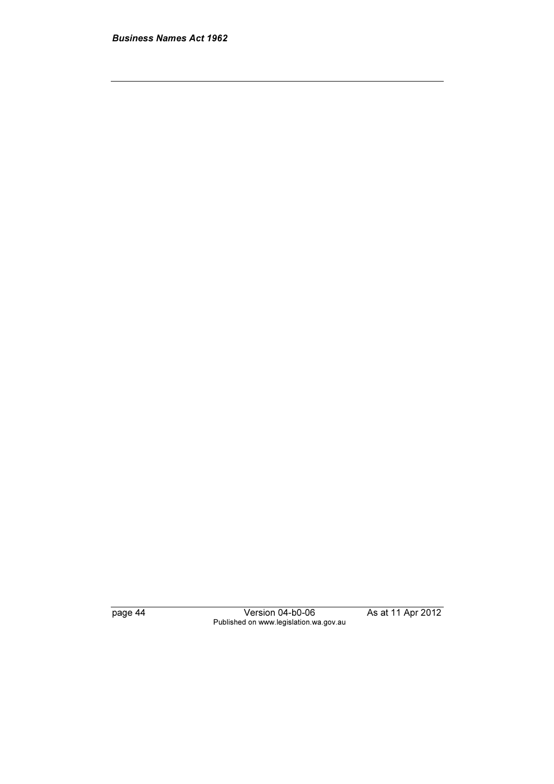Business Names Act 1962

page 44 Version 04-b0-06 As at 11 Apr 2012 Published on www.legislation.wa.gov.au